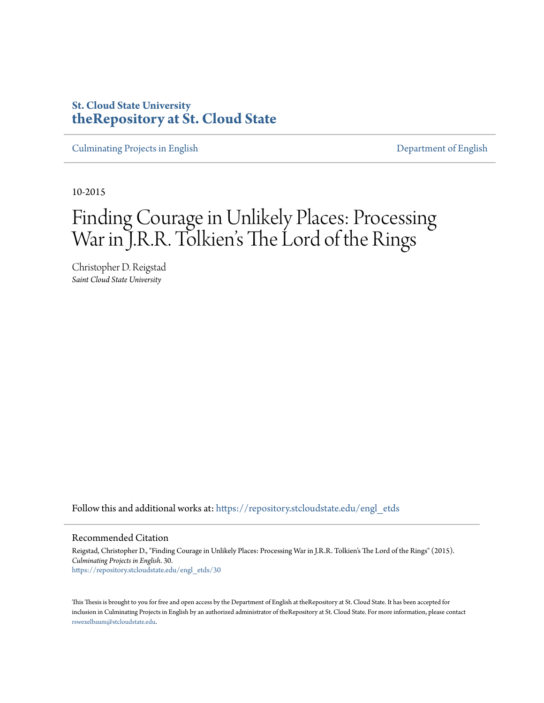# **St. Cloud State University [theRepository at St. Cloud State](https://repository.stcloudstate.edu?utm_source=repository.stcloudstate.edu%2Fengl_etds%2F30&utm_medium=PDF&utm_campaign=PDFCoverPages)**

[Culminating Projects in English](https://repository.stcloudstate.edu/engl_etds?utm_source=repository.stcloudstate.edu%2Fengl_etds%2F30&utm_medium=PDF&utm_campaign=PDFCoverPages) [Department of English](https://repository.stcloudstate.edu/engl?utm_source=repository.stcloudstate.edu%2Fengl_etds%2F30&utm_medium=PDF&utm_campaign=PDFCoverPages)

10-2015

# Finding Courage in Unlikely Places: Processing War in J.R.R. Tolkien 's The Lord of the Rings

Christopher D. Reigstad *Saint Cloud State University*

Follow this and additional works at: [https://repository.stcloudstate.edu/engl\\_etds](https://repository.stcloudstate.edu/engl_etds?utm_source=repository.stcloudstate.edu%2Fengl_etds%2F30&utm_medium=PDF&utm_campaign=PDFCoverPages)

#### Recommended Citation

Reigstad, Christopher D., "Finding Courage in Unlikely Places: Processing War in J.R.R. Tolkien's The Lord of the Rings" (2015). *Culminating Projects in English*. 30. [https://repository.stcloudstate.edu/engl\\_etds/30](https://repository.stcloudstate.edu/engl_etds/30?utm_source=repository.stcloudstate.edu%2Fengl_etds%2F30&utm_medium=PDF&utm_campaign=PDFCoverPages)

This Thesis is brought to you for free and open access by the Department of English at theRepository at St. Cloud State. It has been accepted for inclusion in Culminating Projects in English by an authorized administrator of theRepository at St. Cloud State. For more information, please contact [rswexelbaum@stcloudstate.edu](mailto:rswexelbaum@stcloudstate.edu).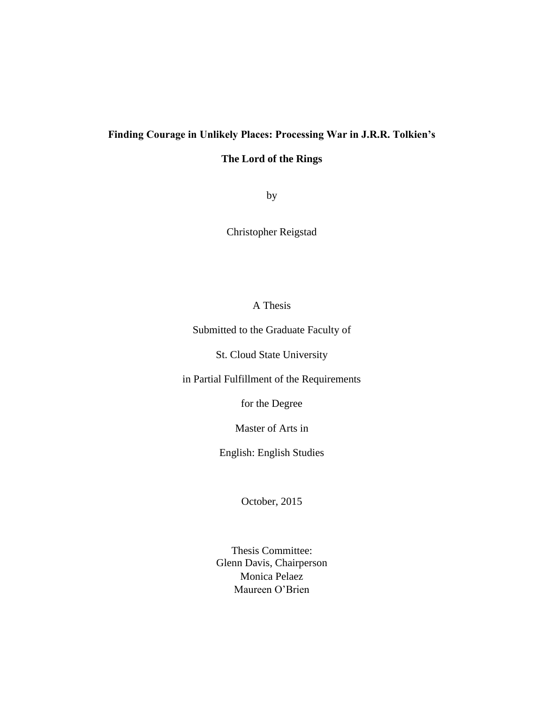# **Finding Courage in Unlikely Places: Processing War in J.R.R. Tolkien's**

## **The Lord of the Rings**

by

Christopher Reigstad

## A Thesis

Submitted to the Graduate Faculty of

St. Cloud State University

in Partial Fulfillment of the Requirements

for the Degree

Master of Arts in

English: English Studies

October, 2015

Thesis Committee: Glenn Davis, Chairperson Monica Pelaez Maureen O'Brien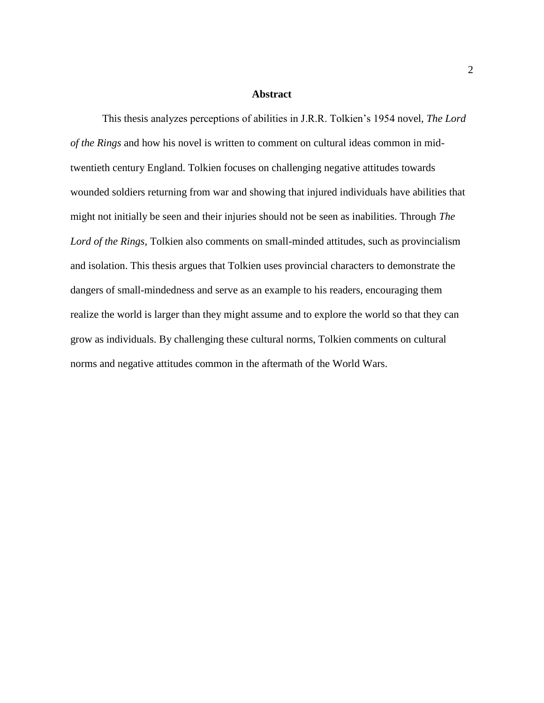#### **Abstract**

This thesis analyzes perceptions of abilities in J.R.R. Tolkien's 1954 novel, *The Lord of the Rings* and how his novel is written to comment on cultural ideas common in midtwentieth century England. Tolkien focuses on challenging negative attitudes towards wounded soldiers returning from war and showing that injured individuals have abilities that might not initially be seen and their injuries should not be seen as inabilities. Through *The Lord of the Rings,* Tolkien also comments on small-minded attitudes, such as provincialism and isolation. This thesis argues that Tolkien uses provincial characters to demonstrate the dangers of small-mindedness and serve as an example to his readers, encouraging them realize the world is larger than they might assume and to explore the world so that they can grow as individuals. By challenging these cultural norms, Tolkien comments on cultural norms and negative attitudes common in the aftermath of the World Wars.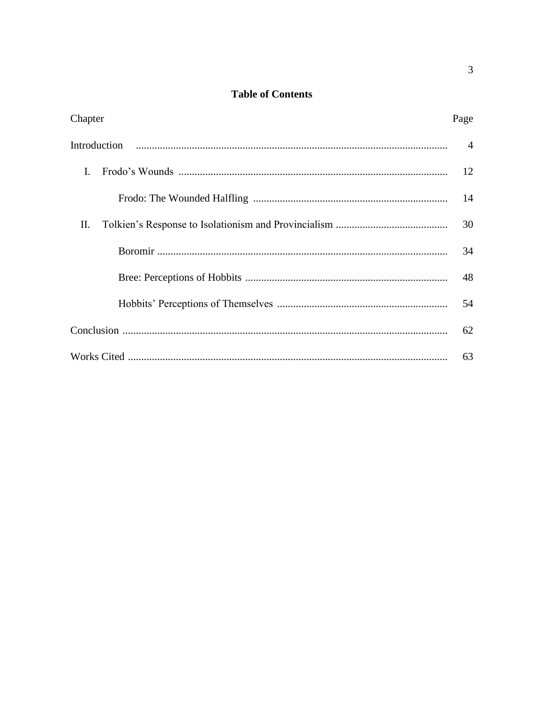# **Table of Contents**

| Chapter | Page           |
|---------|----------------|
|         | $\overline{4}$ |
| L.      | 12             |
|         | 14             |
| II.     | 30             |
|         | 34             |
|         | 48             |
|         | 54             |
|         | 62             |
|         | 63             |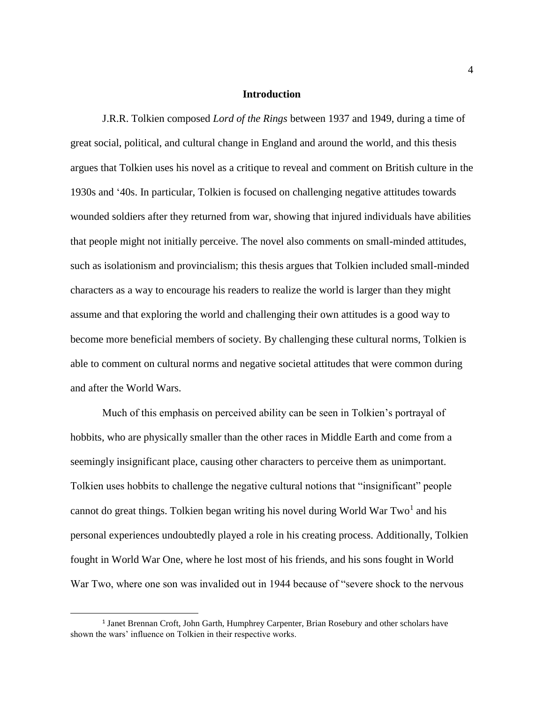#### **Introduction**

J.R.R. Tolkien composed *Lord of the Rings* between 1937 and 1949, during a time of great social, political, and cultural change in England and around the world, and this thesis argues that Tolkien uses his novel as a critique to reveal and comment on British culture in the 1930s and '40s. In particular, Tolkien is focused on challenging negative attitudes towards wounded soldiers after they returned from war, showing that injured individuals have abilities that people might not initially perceive. The novel also comments on small-minded attitudes, such as isolationism and provincialism; this thesis argues that Tolkien included small-minded characters as a way to encourage his readers to realize the world is larger than they might assume and that exploring the world and challenging their own attitudes is a good way to become more beneficial members of society. By challenging these cultural norms, Tolkien is able to comment on cultural norms and negative societal attitudes that were common during and after the World Wars.

Much of this emphasis on perceived ability can be seen in Tolkien's portrayal of hobbits, who are physically smaller than the other races in Middle Earth and come from a seemingly insignificant place, causing other characters to perceive them as unimportant. Tolkien uses hobbits to challenge the negative cultural notions that "insignificant" people cannot do great things. Tolkien began writing his novel during World War  $Two<sup>1</sup>$  and his personal experiences undoubtedly played a role in his creating process. Additionally, Tolkien fought in World War One, where he lost most of his friends, and his sons fought in World War Two, where one son was invalided out in 1944 because of "severe shock to the nervous

l

<sup>1</sup> Janet Brennan Croft, John Garth, Humphrey Carpenter, Brian Rosebury and other scholars have shown the wars' influence on Tolkien in their respective works.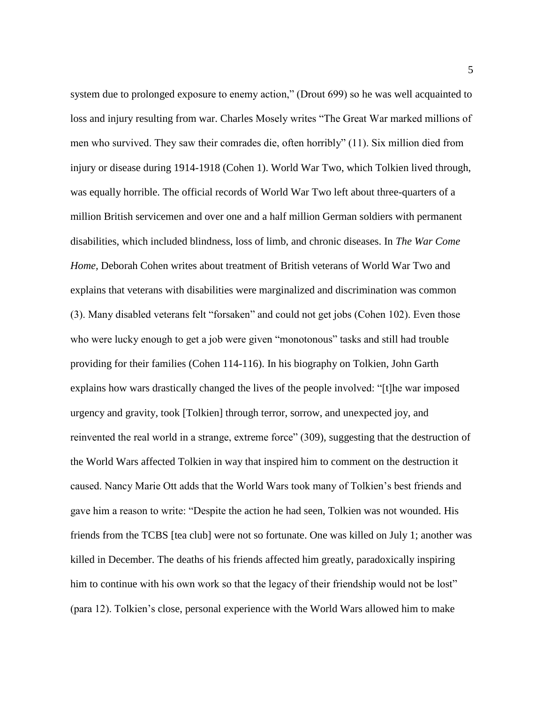system due to prolonged exposure to enemy action," (Drout 699) so he was well acquainted to loss and injury resulting from war. Charles Mosely writes "The Great War marked millions of men who survived. They saw their comrades die, often horribly" (11). Six million died from injury or disease during 1914-1918 (Cohen 1). World War Two, which Tolkien lived through, was equally horrible. The official records of World War Two left about three-quarters of a million British servicemen and over one and a half million German soldiers with permanent disabilities, which included blindness, loss of limb, and chronic diseases. In *The War Come Home,* Deborah Cohen writes about treatment of British veterans of World War Two and explains that veterans with disabilities were marginalized and discrimination was common (3). Many disabled veterans felt "forsaken" and could not get jobs (Cohen 102). Even those who were lucky enough to get a job were given "monotonous" tasks and still had trouble providing for their families (Cohen 114-116). In his biography on Tolkien, John Garth explains how wars drastically changed the lives of the people involved: "[t]he war imposed urgency and gravity, took [Tolkien] through terror, sorrow, and unexpected joy, and reinvented the real world in a strange, extreme force" (309), suggesting that the destruction of the World Wars affected Tolkien in way that inspired him to comment on the destruction it caused. Nancy Marie Ott adds that the World Wars took many of Tolkien's best friends and gave him a reason to write: "Despite the action he had seen, Tolkien was not wounded. His friends from the TCBS [tea club] were not so fortunate. One was killed on July 1; another was killed in December. The deaths of his friends affected him greatly, paradoxically inspiring him to continue with his own work so that the legacy of their friendship would not be lost" (para 12). Tolkien's close, personal experience with the World Wars allowed him to make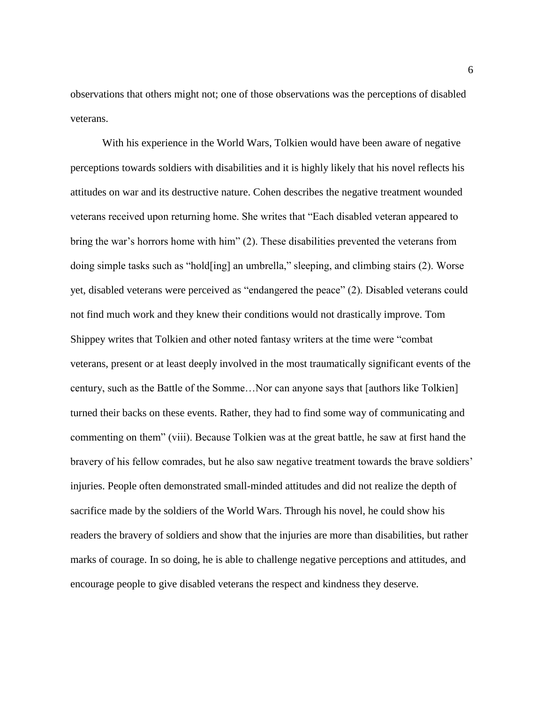observations that others might not; one of those observations was the perceptions of disabled veterans.

With his experience in the World Wars, Tolkien would have been aware of negative perceptions towards soldiers with disabilities and it is highly likely that his novel reflects his attitudes on war and its destructive nature. Cohen describes the negative treatment wounded veterans received upon returning home. She writes that "Each disabled veteran appeared to bring the war's horrors home with him" (2). These disabilities prevented the veterans from doing simple tasks such as "hold[ing] an umbrella," sleeping, and climbing stairs (2). Worse yet, disabled veterans were perceived as "endangered the peace" (2). Disabled veterans could not find much work and they knew their conditions would not drastically improve. Tom Shippey writes that Tolkien and other noted fantasy writers at the time were "combat veterans, present or at least deeply involved in the most traumatically significant events of the century, such as the Battle of the Somme…Nor can anyone says that [authors like Tolkien] turned their backs on these events. Rather, they had to find some way of communicating and commenting on them" (viii). Because Tolkien was at the great battle, he saw at first hand the bravery of his fellow comrades, but he also saw negative treatment towards the brave soldiers' injuries. People often demonstrated small-minded attitudes and did not realize the depth of sacrifice made by the soldiers of the World Wars. Through his novel, he could show his readers the bravery of soldiers and show that the injuries are more than disabilities, but rather marks of courage. In so doing, he is able to challenge negative perceptions and attitudes, and encourage people to give disabled veterans the respect and kindness they deserve.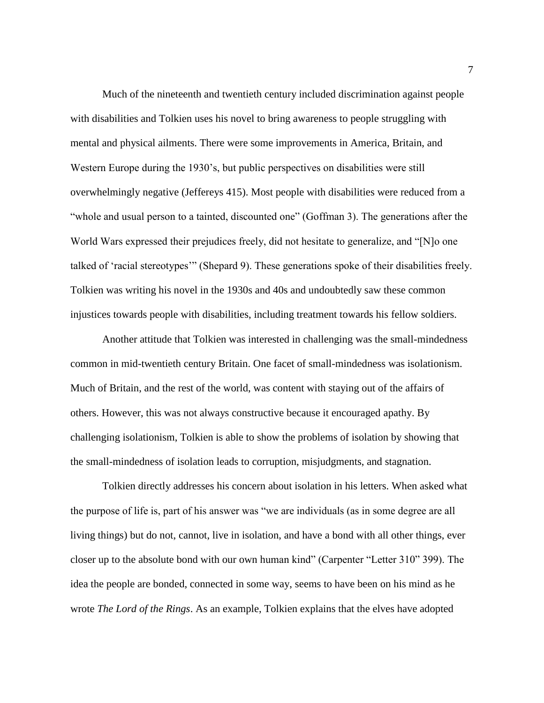Much of the nineteenth and twentieth century included discrimination against people with disabilities and Tolkien uses his novel to bring awareness to people struggling with mental and physical ailments. There were some improvements in America, Britain, and Western Europe during the 1930's, but public perspectives on disabilities were still overwhelmingly negative (Jeffereys 415). Most people with disabilities were reduced from a "whole and usual person to a tainted, discounted one" (Goffman 3). The generations after the World Wars expressed their prejudices freely, did not hesitate to generalize, and "[N]o one talked of 'racial stereotypes'" (Shepard 9). These generations spoke of their disabilities freely. Tolkien was writing his novel in the 1930s and 40s and undoubtedly saw these common injustices towards people with disabilities, including treatment towards his fellow soldiers.

Another attitude that Tolkien was interested in challenging was the small-mindedness common in mid-twentieth century Britain. One facet of small-mindedness was isolationism. Much of Britain, and the rest of the world, was content with staying out of the affairs of others. However, this was not always constructive because it encouraged apathy. By challenging isolationism, Tolkien is able to show the problems of isolation by showing that the small-mindedness of isolation leads to corruption, misjudgments, and stagnation.

Tolkien directly addresses his concern about isolation in his letters. When asked what the purpose of life is, part of his answer was "we are individuals (as in some degree are all living things) but do not, cannot, live in isolation, and have a bond with all other things, ever closer up to the absolute bond with our own human kind" (Carpenter "Letter 310" 399). The idea the people are bonded, connected in some way, seems to have been on his mind as he wrote *The Lord of the Rings*. As an example, Tolkien explains that the elves have adopted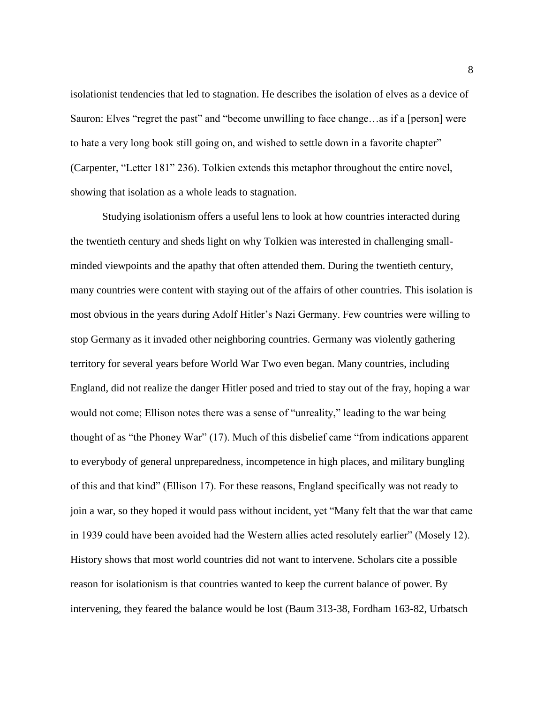isolationist tendencies that led to stagnation. He describes the isolation of elves as a device of Sauron: Elves "regret the past" and "become unwilling to face change...as if a [person] were to hate a very long book still going on, and wished to settle down in a favorite chapter" (Carpenter, "Letter 181" 236). Tolkien extends this metaphor throughout the entire novel, showing that isolation as a whole leads to stagnation.

Studying isolationism offers a useful lens to look at how countries interacted during the twentieth century and sheds light on why Tolkien was interested in challenging smallminded viewpoints and the apathy that often attended them. During the twentieth century, many countries were content with staying out of the affairs of other countries. This isolation is most obvious in the years during Adolf Hitler's Nazi Germany. Few countries were willing to stop Germany as it invaded other neighboring countries. Germany was violently gathering territory for several years before World War Two even began. Many countries, including England, did not realize the danger Hitler posed and tried to stay out of the fray, hoping a war would not come; Ellison notes there was a sense of "unreality," leading to the war being thought of as "the Phoney War" (17). Much of this disbelief came "from indications apparent to everybody of general unpreparedness, incompetence in high places, and military bungling of this and that kind" (Ellison 17). For these reasons, England specifically was not ready to join a war, so they hoped it would pass without incident, yet "Many felt that the war that came in 1939 could have been avoided had the Western allies acted resolutely earlier" (Mosely 12). History shows that most world countries did not want to intervene. Scholars cite a possible reason for isolationism is that countries wanted to keep the current balance of power. By intervening, they feared the balance would be lost (Baum 313-38, Fordham 163-82, Urbatsch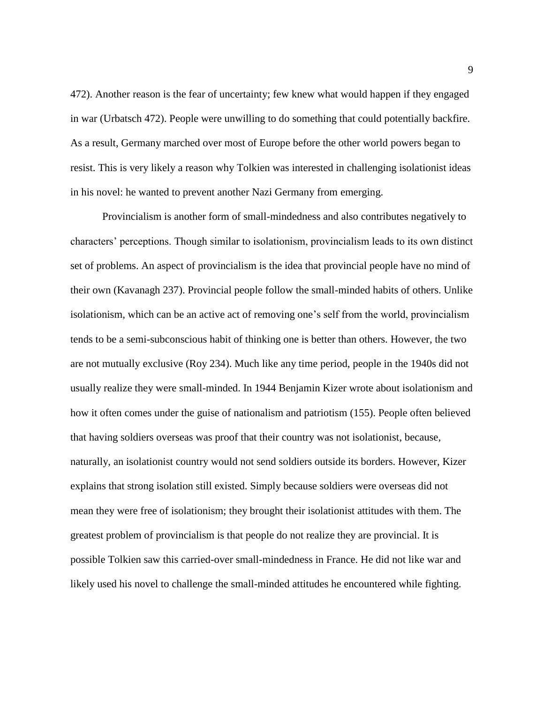472). Another reason is the fear of uncertainty; few knew what would happen if they engaged in war (Urbatsch 472). People were unwilling to do something that could potentially backfire. As a result, Germany marched over most of Europe before the other world powers began to resist. This is very likely a reason why Tolkien was interested in challenging isolationist ideas in his novel: he wanted to prevent another Nazi Germany from emerging.

Provincialism is another form of small-mindedness and also contributes negatively to characters' perceptions. Though similar to isolationism, provincialism leads to its own distinct set of problems. An aspect of provincialism is the idea that provincial people have no mind of their own (Kavanagh 237). Provincial people follow the small-minded habits of others. Unlike isolationism, which can be an active act of removing one's self from the world, provincialism tends to be a semi-subconscious habit of thinking one is better than others. However, the two are not mutually exclusive (Roy 234). Much like any time period, people in the 1940s did not usually realize they were small-minded. In 1944 Benjamin Kizer wrote about isolationism and how it often comes under the guise of nationalism and patriotism (155). People often believed that having soldiers overseas was proof that their country was not isolationist, because, naturally, an isolationist country would not send soldiers outside its borders. However, Kizer explains that strong isolation still existed. Simply because soldiers were overseas did not mean they were free of isolationism; they brought their isolationist attitudes with them. The greatest problem of provincialism is that people do not realize they are provincial. It is possible Tolkien saw this carried-over small-mindedness in France. He did not like war and likely used his novel to challenge the small-minded attitudes he encountered while fighting.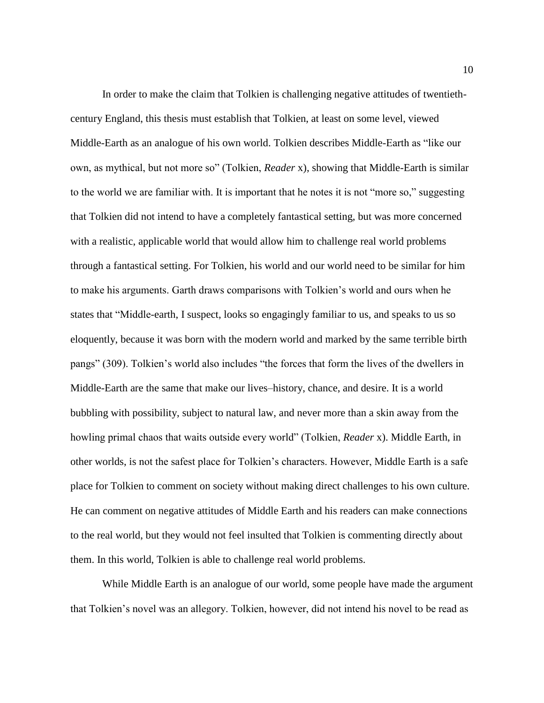In order to make the claim that Tolkien is challenging negative attitudes of twentiethcentury England, this thesis must establish that Tolkien, at least on some level, viewed Middle-Earth as an analogue of his own world. Tolkien describes Middle-Earth as "like our own, as mythical, but not more so" (Tolkien, *Reader* x), showing that Middle-Earth is similar to the world we are familiar with. It is important that he notes it is not "more so," suggesting that Tolkien did not intend to have a completely fantastical setting, but was more concerned with a realistic, applicable world that would allow him to challenge real world problems through a fantastical setting. For Tolkien, his world and our world need to be similar for him to make his arguments. Garth draws comparisons with Tolkien's world and ours when he states that "Middle-earth, I suspect, looks so engagingly familiar to us, and speaks to us so eloquently, because it was born with the modern world and marked by the same terrible birth pangs" (309). Tolkien's world also includes "the forces that form the lives of the dwellers in Middle-Earth are the same that make our lives–history, chance, and desire. It is a world bubbling with possibility, subject to natural law, and never more than a skin away from the howling primal chaos that waits outside every world" (Tolkien, *Reader* x). Middle Earth, in other worlds, is not the safest place for Tolkien's characters. However, Middle Earth is a safe place for Tolkien to comment on society without making direct challenges to his own culture. He can comment on negative attitudes of Middle Earth and his readers can make connections to the real world, but they would not feel insulted that Tolkien is commenting directly about them. In this world, Tolkien is able to challenge real world problems.

While Middle Earth is an analogue of our world, some people have made the argument that Tolkien's novel was an allegory. Tolkien, however, did not intend his novel to be read as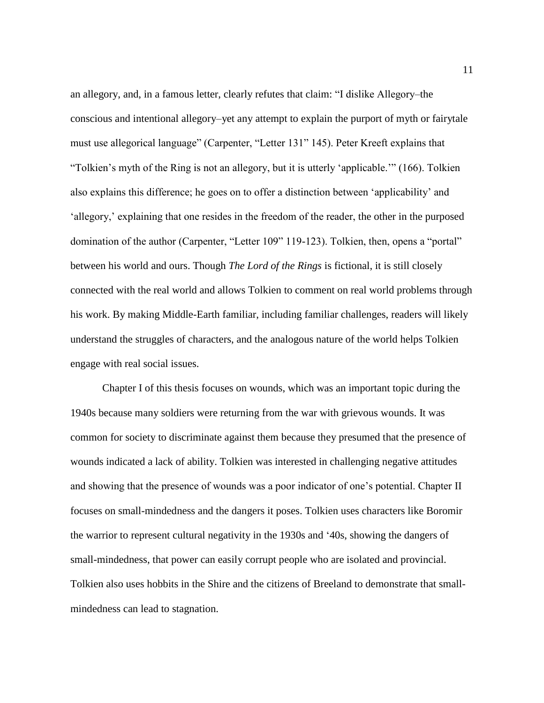an allegory, and, in a famous letter, clearly refutes that claim: "I dislike Allegory–the conscious and intentional allegory–yet any attempt to explain the purport of myth or fairytale must use allegorical language" (Carpenter, "Letter 131" 145). Peter Kreeft explains that "Tolkien's myth of the Ring is not an allegory, but it is utterly 'applicable.'" (166). Tolkien also explains this difference; he goes on to offer a distinction between 'applicability' and 'allegory,' explaining that one resides in the freedom of the reader, the other in the purposed domination of the author (Carpenter, "Letter 109" 119-123). Tolkien, then, opens a "portal" between his world and ours. Though *The Lord of the Rings* is fictional, it is still closely connected with the real world and allows Tolkien to comment on real world problems through his work. By making Middle-Earth familiar, including familiar challenges, readers will likely understand the struggles of characters, and the analogous nature of the world helps Tolkien engage with real social issues.

Chapter I of this thesis focuses on wounds, which was an important topic during the 1940s because many soldiers were returning from the war with grievous wounds. It was common for society to discriminate against them because they presumed that the presence of wounds indicated a lack of ability. Tolkien was interested in challenging negative attitudes and showing that the presence of wounds was a poor indicator of one's potential. Chapter II focuses on small-mindedness and the dangers it poses. Tolkien uses characters like Boromir the warrior to represent cultural negativity in the 1930s and '40s, showing the dangers of small-mindedness, that power can easily corrupt people who are isolated and provincial. Tolkien also uses hobbits in the Shire and the citizens of Breeland to demonstrate that smallmindedness can lead to stagnation.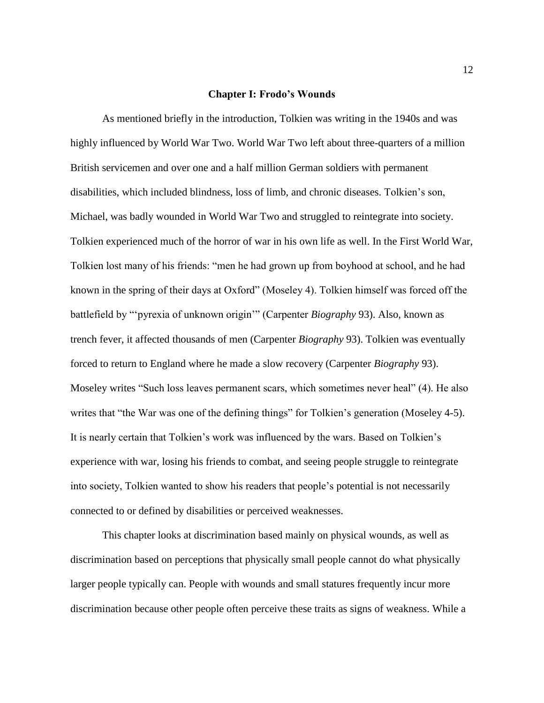#### **Chapter I: Frodo's Wounds**

As mentioned briefly in the introduction, Tolkien was writing in the 1940s and was highly influenced by World War Two. World War Two left about three-quarters of a million British servicemen and over one and a half million German soldiers with permanent disabilities, which included blindness, loss of limb, and chronic diseases. Tolkien's son, Michael, was badly wounded in World War Two and struggled to reintegrate into society. Tolkien experienced much of the horror of war in his own life as well. In the First World War, Tolkien lost many of his friends: "men he had grown up from boyhood at school, and he had known in the spring of their days at Oxford" (Moseley 4). Tolkien himself was forced off the battlefield by "'pyrexia of unknown origin'" (Carpenter *Biography* 93). Also, known as trench fever, it affected thousands of men (Carpenter *Biography* 93). Tolkien was eventually forced to return to England where he made a slow recovery (Carpenter *Biography* 93). Moseley writes "Such loss leaves permanent scars, which sometimes never heal" (4). He also writes that "the War was one of the defining things" for Tolkien's generation (Moseley 4-5). It is nearly certain that Tolkien's work was influenced by the wars. Based on Tolkien's experience with war, losing his friends to combat, and seeing people struggle to reintegrate into society, Tolkien wanted to show his readers that people's potential is not necessarily connected to or defined by disabilities or perceived weaknesses.

This chapter looks at discrimination based mainly on physical wounds, as well as discrimination based on perceptions that physically small people cannot do what physically larger people typically can. People with wounds and small statures frequently incur more discrimination because other people often perceive these traits as signs of weakness. While a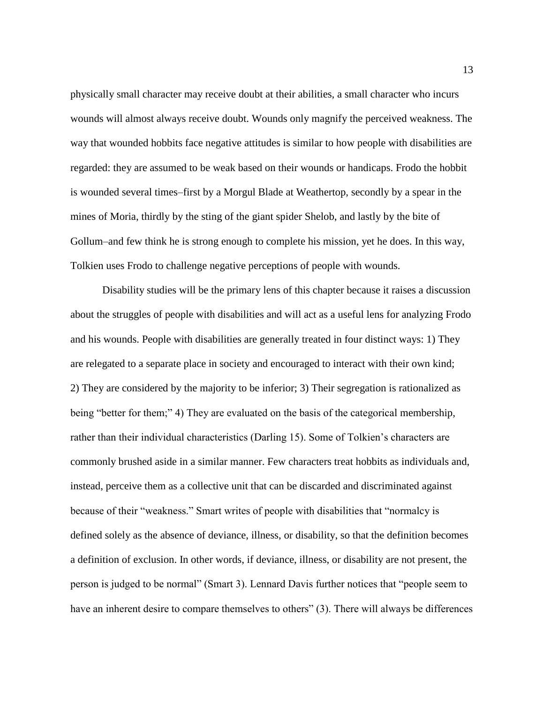physically small character may receive doubt at their abilities, a small character who incurs wounds will almost always receive doubt. Wounds only magnify the perceived weakness. The way that wounded hobbits face negative attitudes is similar to how people with disabilities are regarded: they are assumed to be weak based on their wounds or handicaps. Frodo the hobbit is wounded several times–first by a Morgul Blade at Weathertop, secondly by a spear in the mines of Moria, thirdly by the sting of the giant spider Shelob, and lastly by the bite of Gollum–and few think he is strong enough to complete his mission, yet he does. In this way, Tolkien uses Frodo to challenge negative perceptions of people with wounds.

Disability studies will be the primary lens of this chapter because it raises a discussion about the struggles of people with disabilities and will act as a useful lens for analyzing Frodo and his wounds. People with disabilities are generally treated in four distinct ways: 1) They are relegated to a separate place in society and encouraged to interact with their own kind; 2) They are considered by the majority to be inferior; 3) Their segregation is rationalized as being "better for them;" 4) They are evaluated on the basis of the categorical membership, rather than their individual characteristics (Darling 15). Some of Tolkien's characters are commonly brushed aside in a similar manner. Few characters treat hobbits as individuals and, instead, perceive them as a collective unit that can be discarded and discriminated against because of their "weakness." Smart writes of people with disabilities that "normalcy is defined solely as the absence of deviance, illness, or disability, so that the definition becomes a definition of exclusion. In other words, if deviance, illness, or disability are not present, the person is judged to be normal" (Smart 3). Lennard Davis further notices that "people seem to have an inherent desire to compare themselves to others" (3). There will always be differences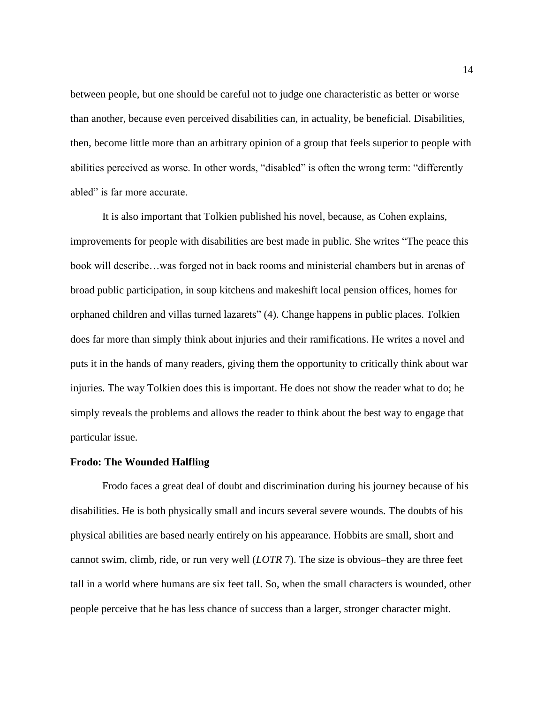between people, but one should be careful not to judge one characteristic as better or worse than another, because even perceived disabilities can, in actuality, be beneficial. Disabilities, then, become little more than an arbitrary opinion of a group that feels superior to people with abilities perceived as worse. In other words, "disabled" is often the wrong term: "differently abled" is far more accurate.

It is also important that Tolkien published his novel, because, as Cohen explains, improvements for people with disabilities are best made in public. She writes "The peace this book will describe…was forged not in back rooms and ministerial chambers but in arenas of broad public participation, in soup kitchens and makeshift local pension offices, homes for orphaned children and villas turned lazarets" (4). Change happens in public places. Tolkien does far more than simply think about injuries and their ramifications. He writes a novel and puts it in the hands of many readers, giving them the opportunity to critically think about war injuries. The way Tolkien does this is important. He does not show the reader what to do; he simply reveals the problems and allows the reader to think about the best way to engage that particular issue.

#### **Frodo: The Wounded Halfling**

Frodo faces a great deal of doubt and discrimination during his journey because of his disabilities. He is both physically small and incurs several severe wounds. The doubts of his physical abilities are based nearly entirely on his appearance. Hobbits are small, short and cannot swim, climb, ride, or run very well (*LOTR* 7). The size is obvious–they are three feet tall in a world where humans are six feet tall. So, when the small characters is wounded, other people perceive that he has less chance of success than a larger, stronger character might.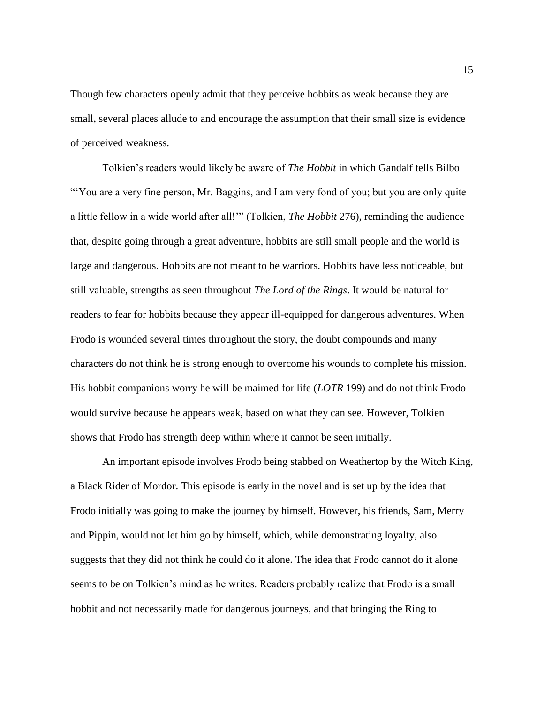Though few characters openly admit that they perceive hobbits as weak because they are small, several places allude to and encourage the assumption that their small size is evidence of perceived weakness.

Tolkien's readers would likely be aware of *The Hobbit* in which Gandalf tells Bilbo "You are a very fine person, Mr. Baggins, and I am very fond of you; but you are only quite a little fellow in a wide world after all!'" (Tolkien, *The Hobbit* 276), reminding the audience that, despite going through a great adventure, hobbits are still small people and the world is large and dangerous. Hobbits are not meant to be warriors. Hobbits have less noticeable, but still valuable, strengths as seen throughout *The Lord of the Rings*. It would be natural for readers to fear for hobbits because they appear ill-equipped for dangerous adventures. When Frodo is wounded several times throughout the story, the doubt compounds and many characters do not think he is strong enough to overcome his wounds to complete his mission. His hobbit companions worry he will be maimed for life (*LOTR* 199) and do not think Frodo would survive because he appears weak, based on what they can see. However, Tolkien shows that Frodo has strength deep within where it cannot be seen initially.

An important episode involves Frodo being stabbed on Weathertop by the Witch King, a Black Rider of Mordor. This episode is early in the novel and is set up by the idea that Frodo initially was going to make the journey by himself. However, his friends, Sam, Merry and Pippin, would not let him go by himself, which, while demonstrating loyalty, also suggests that they did not think he could do it alone. The idea that Frodo cannot do it alone seems to be on Tolkien's mind as he writes. Readers probably realize that Frodo is a small hobbit and not necessarily made for dangerous journeys, and that bringing the Ring to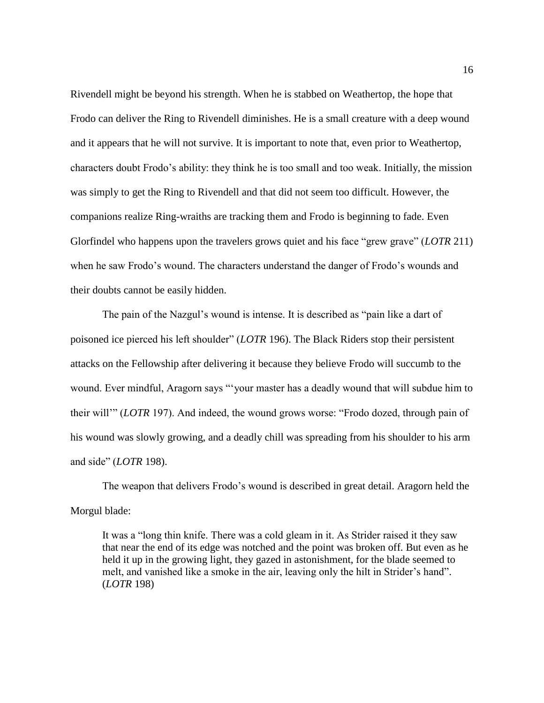Rivendell might be beyond his strength. When he is stabbed on Weathertop, the hope that Frodo can deliver the Ring to Rivendell diminishes. He is a small creature with a deep wound and it appears that he will not survive. It is important to note that, even prior to Weathertop, characters doubt Frodo's ability: they think he is too small and too weak. Initially, the mission was simply to get the Ring to Rivendell and that did not seem too difficult. However, the companions realize Ring-wraiths are tracking them and Frodo is beginning to fade. Even Glorfindel who happens upon the travelers grows quiet and his face "grew grave" (*LOTR* 211) when he saw Frodo's wound. The characters understand the danger of Frodo's wounds and their doubts cannot be easily hidden.

The pain of the Nazgul's wound is intense. It is described as "pain like a dart of poisoned ice pierced his left shoulder" (*LOTR* 196). The Black Riders stop their persistent attacks on the Fellowship after delivering it because they believe Frodo will succumb to the wound. Ever mindful, Aragorn says "'your master has a deadly wound that will subdue him to their will'" (*LOTR* 197). And indeed, the wound grows worse: "Frodo dozed, through pain of his wound was slowly growing, and a deadly chill was spreading from his shoulder to his arm and side" (*LOTR* 198).

The weapon that delivers Frodo's wound is described in great detail. Aragorn held the Morgul blade:

It was a "long thin knife. There was a cold gleam in it. As Strider raised it they saw that near the end of its edge was notched and the point was broken off. But even as he held it up in the growing light, they gazed in astonishment, for the blade seemed to melt, and vanished like a smoke in the air, leaving only the hilt in Strider's hand". (*LOTR* 198)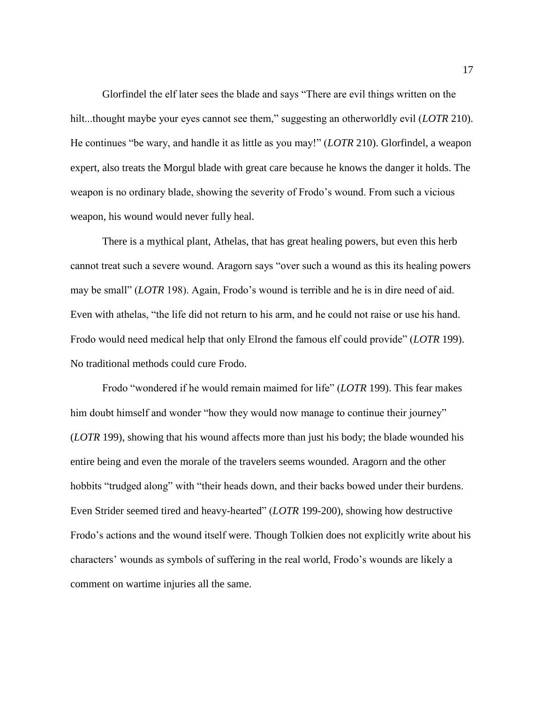Glorfindel the elf later sees the blade and says "There are evil things written on the hilt...thought maybe your eyes cannot see them," suggesting an otherworldly evil (*LOTR* 210). He continues "be wary, and handle it as little as you may!" (*LOTR* 210). Glorfindel, a weapon expert, also treats the Morgul blade with great care because he knows the danger it holds. The weapon is no ordinary blade, showing the severity of Frodo's wound. From such a vicious weapon, his wound would never fully heal.

There is a mythical plant, Athelas, that has great healing powers, but even this herb cannot treat such a severe wound. Aragorn says "over such a wound as this its healing powers may be small" (*LOTR* 198). Again, Frodo's wound is terrible and he is in dire need of aid. Even with athelas, "the life did not return to his arm, and he could not raise or use his hand. Frodo would need medical help that only Elrond the famous elf could provide" (*LOTR* 199). No traditional methods could cure Frodo.

Frodo "wondered if he would remain maimed for life" (*LOTR* 199). This fear makes him doubt himself and wonder "how they would now manage to continue their journey" (*LOTR* 199), showing that his wound affects more than just his body; the blade wounded his entire being and even the morale of the travelers seems wounded. Aragorn and the other hobbits "trudged along" with "their heads down, and their backs bowed under their burdens. Even Strider seemed tired and heavy-hearted" (*LOTR* 199-200), showing how destructive Frodo's actions and the wound itself were. Though Tolkien does not explicitly write about his characters' wounds as symbols of suffering in the real world, Frodo's wounds are likely a comment on wartime injuries all the same.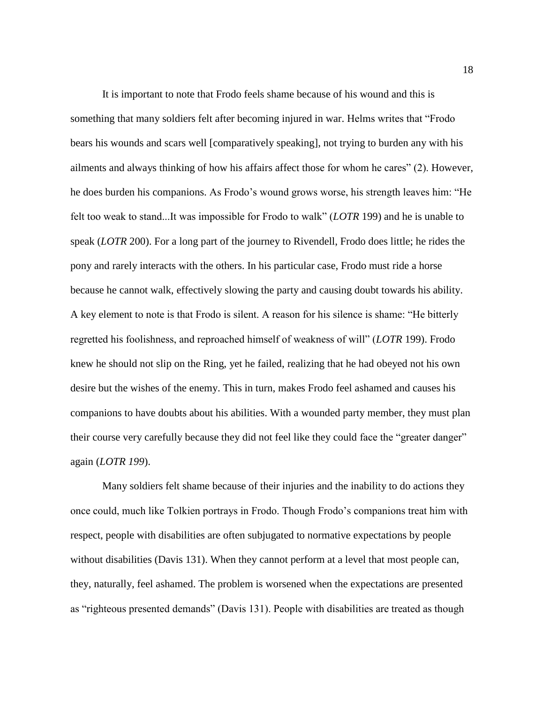It is important to note that Frodo feels shame because of his wound and this is something that many soldiers felt after becoming injured in war. Helms writes that "Frodo bears his wounds and scars well [comparatively speaking], not trying to burden any with his ailments and always thinking of how his affairs affect those for whom he cares" (2). However, he does burden his companions. As Frodo's wound grows worse, his strength leaves him: "He felt too weak to stand...It was impossible for Frodo to walk" (*LOTR* 199) and he is unable to speak (*LOTR* 200). For a long part of the journey to Rivendell, Frodo does little; he rides the pony and rarely interacts with the others. In his particular case, Frodo must ride a horse because he cannot walk, effectively slowing the party and causing doubt towards his ability. A key element to note is that Frodo is silent. A reason for his silence is shame: "He bitterly regretted his foolishness, and reproached himself of weakness of will" (*LOTR* 199). Frodo knew he should not slip on the Ring, yet he failed, realizing that he had obeyed not his own desire but the wishes of the enemy. This in turn, makes Frodo feel ashamed and causes his companions to have doubts about his abilities. With a wounded party member, they must plan their course very carefully because they did not feel like they could face the "greater danger" again (*LOTR 199*).

Many soldiers felt shame because of their injuries and the inability to do actions they once could, much like Tolkien portrays in Frodo. Though Frodo's companions treat him with respect, people with disabilities are often subjugated to normative expectations by people without disabilities (Davis 131). When they cannot perform at a level that most people can, they, naturally, feel ashamed. The problem is worsened when the expectations are presented as "righteous presented demands" (Davis 131). People with disabilities are treated as though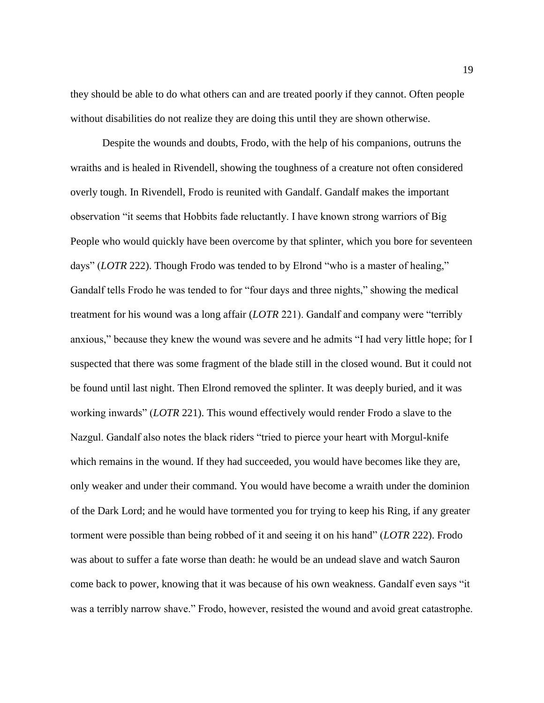they should be able to do what others can and are treated poorly if they cannot. Often people without disabilities do not realize they are doing this until they are shown otherwise.

Despite the wounds and doubts, Frodo, with the help of his companions, outruns the wraiths and is healed in Rivendell, showing the toughness of a creature not often considered overly tough. In Rivendell, Frodo is reunited with Gandalf. Gandalf makes the important observation "it seems that Hobbits fade reluctantly. I have known strong warriors of Big People who would quickly have been overcome by that splinter, which you bore for seventeen days" (*LOTR* 222). Though Frodo was tended to by Elrond "who is a master of healing," Gandalf tells Frodo he was tended to for "four days and three nights," showing the medical treatment for his wound was a long affair (*LOTR* 221). Gandalf and company were "terribly anxious," because they knew the wound was severe and he admits "I had very little hope; for I suspected that there was some fragment of the blade still in the closed wound. But it could not be found until last night. Then Elrond removed the splinter. It was deeply buried, and it was working inwards" (*LOTR* 221). This wound effectively would render Frodo a slave to the Nazgul. Gandalf also notes the black riders "tried to pierce your heart with Morgul-knife which remains in the wound. If they had succeeded, you would have becomes like they are, only weaker and under their command. You would have become a wraith under the dominion of the Dark Lord; and he would have tormented you for trying to keep his Ring, if any greater torment were possible than being robbed of it and seeing it on his hand" (*LOTR* 222). Frodo was about to suffer a fate worse than death: he would be an undead slave and watch Sauron come back to power, knowing that it was because of his own weakness. Gandalf even says "it was a terribly narrow shave." Frodo, however, resisted the wound and avoid great catastrophe.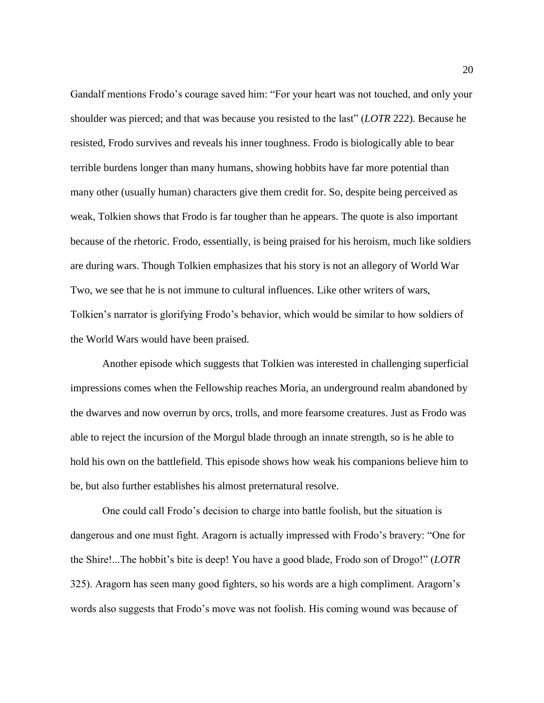Gandalf mentions Frodo's courage saved him: "For your heart was not touched, and only your shoulder was pierced; and that was because you resisted to the last" (*LOTR* 222). Because he resisted, Frodo survives and reveals his inner toughness. Frodo is biologically able to bear terrible burdens longer than many humans, showing hobbits have far more potential than many other (usually human) characters give them credit for. So, despite being perceived as weak, Tolkien shows that Frodo is far tougher than he appears. The quote is also important because of the rhetoric. Frodo, essentially, is being praised for his heroism, much like soldiers are during wars. Though Tolkien emphasizes that his story is not an allegory of World War Two, we see that he is not immune to cultural influences. Like other writers of wars, Tolkien's narrator is glorifying Frodo's behavior, which would be similar to how soldiers of the World Wars would have been praised.

Another episode which suggests that Tolkien was interested in challenging superficial impressions comes when the Fellowship reaches Moria, an underground realm abandoned by the dwarves and now overrun by orcs, trolls, and more fearsome creatures. Just as Frodo was able to reject the incursion of the Morgul blade through an innate strength, so is he able to hold his own on the battlefield. This episode shows how weak his companions believe him to be, but also further establishes his almost preternatural resolve.

One could call Frodo's decision to charge into battle foolish, but the situation is dangerous and one must fight. Aragorn is actually impressed with Frodo's bravery: "One for the Shire!...The hobbit's bite is deep! You have a good blade, Frodo son of Drogo!" (*LOTR* 325). Aragorn has seen many good fighters, so his words are a high compliment. Aragorn's words also suggests that Frodo's move was not foolish. His coming wound was because of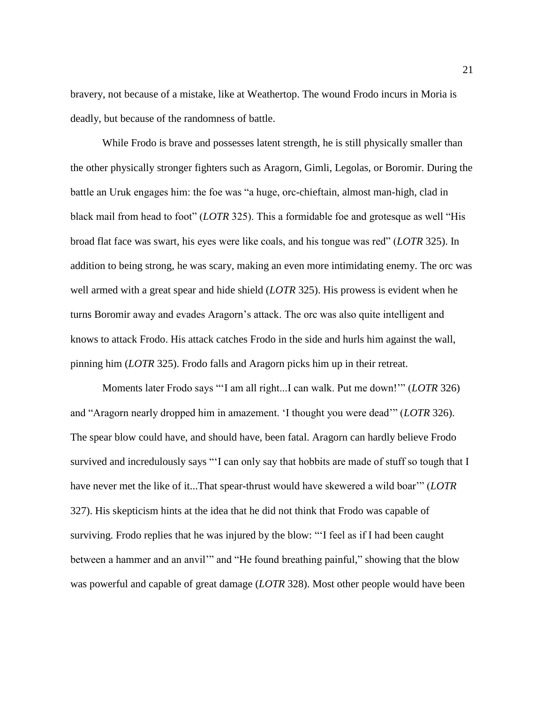bravery, not because of a mistake, like at Weathertop. The wound Frodo incurs in Moria is deadly, but because of the randomness of battle.

While Frodo is brave and possesses latent strength, he is still physically smaller than the other physically stronger fighters such as Aragorn, Gimli, Legolas, or Boromir. During the battle an Uruk engages him: the foe was "a huge, orc-chieftain, almost man-high, clad in black mail from head to foot" (*LOTR* 325). This a formidable foe and grotesque as well "His broad flat face was swart, his eyes were like coals, and his tongue was red" (*LOTR* 325). In addition to being strong, he was scary, making an even more intimidating enemy. The orc was well armed with a great spear and hide shield (*LOTR* 325). His prowess is evident when he turns Boromir away and evades Aragorn's attack. The orc was also quite intelligent and knows to attack Frodo. His attack catches Frodo in the side and hurls him against the wall, pinning him (*LOTR* 325). Frodo falls and Aragorn picks him up in their retreat.

Moments later Frodo says "'I am all right...I can walk. Put me down!'" (*LOTR* 326) and "Aragorn nearly dropped him in amazement. 'I thought you were dead'" (*LOTR* 326). The spear blow could have, and should have, been fatal. Aragorn can hardly believe Frodo survived and incredulously says "'I can only say that hobbits are made of stuff so tough that I have never met the like of it...That spear-thrust would have skewered a wild boar'" (*LOTR* 327). His skepticism hints at the idea that he did not think that Frodo was capable of surviving. Frodo replies that he was injured by the blow: "'I feel as if I had been caught between a hammer and an anvil'" and "He found breathing painful," showing that the blow was powerful and capable of great damage (*LOTR* 328). Most other people would have been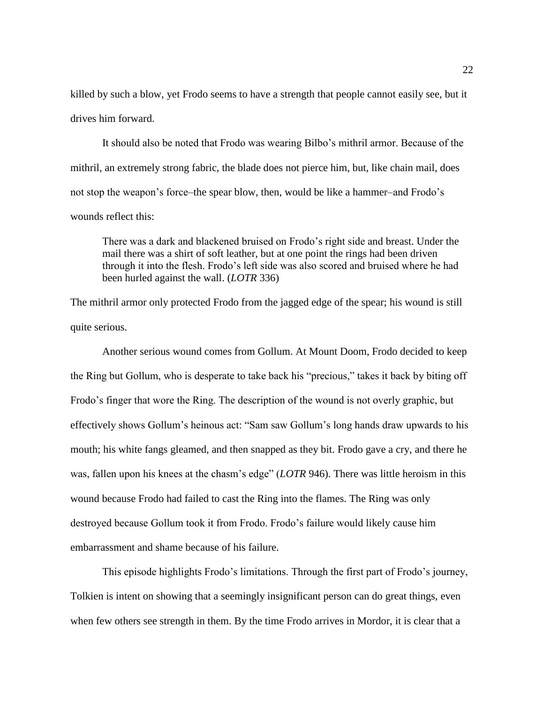killed by such a blow, yet Frodo seems to have a strength that people cannot easily see, but it drives him forward.

It should also be noted that Frodo was wearing Bilbo's mithril armor. Because of the mithril, an extremely strong fabric, the blade does not pierce him, but, like chain mail, does not stop the weapon's force–the spear blow, then, would be like a hammer–and Frodo's wounds reflect this:

There was a dark and blackened bruised on Frodo's right side and breast. Under the mail there was a shirt of soft leather, but at one point the rings had been driven through it into the flesh. Frodo's left side was also scored and bruised where he had been hurled against the wall. (*LOTR* 336)

The mithril armor only protected Frodo from the jagged edge of the spear; his wound is still quite serious.

Another serious wound comes from Gollum. At Mount Doom, Frodo decided to keep the Ring but Gollum, who is desperate to take back his "precious," takes it back by biting off Frodo's finger that wore the Ring. The description of the wound is not overly graphic, but effectively shows Gollum's heinous act: "Sam saw Gollum's long hands draw upwards to his mouth; his white fangs gleamed, and then snapped as they bit. Frodo gave a cry, and there he was, fallen upon his knees at the chasm's edge" (*LOTR* 946). There was little heroism in this wound because Frodo had failed to cast the Ring into the flames. The Ring was only destroyed because Gollum took it from Frodo. Frodo's failure would likely cause him embarrassment and shame because of his failure.

This episode highlights Frodo's limitations. Through the first part of Frodo's journey, Tolkien is intent on showing that a seemingly insignificant person can do great things, even when few others see strength in them. By the time Frodo arrives in Mordor, it is clear that a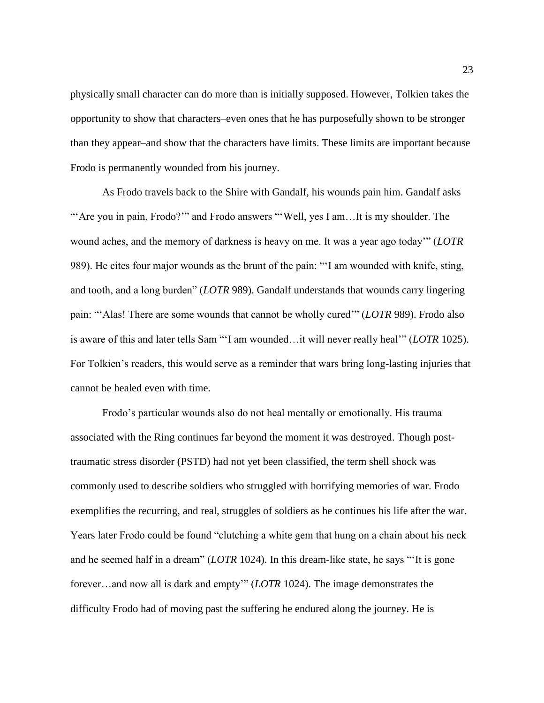physically small character can do more than is initially supposed. However, Tolkien takes the opportunity to show that characters–even ones that he has purposefully shown to be stronger than they appear–and show that the characters have limits. These limits are important because Frodo is permanently wounded from his journey.

As Frodo travels back to the Shire with Gandalf, his wounds pain him. Gandalf asks ""Are you in pain, Frodo?"" and Frodo answers ""Well, yes I am...It is my shoulder. The wound aches, and the memory of darkness is heavy on me. It was a year ago today'" (*LOTR*  989). He cites four major wounds as the brunt of the pain: "'I am wounded with knife, sting, and tooth, and a long burden" (*LOTR* 989). Gandalf understands that wounds carry lingering pain: "'Alas! There are some wounds that cannot be wholly cured'" (*LOTR* 989). Frodo also is aware of this and later tells Sam "'I am wounded…it will never really heal'" (*LOTR* 1025). For Tolkien's readers, this would serve as a reminder that wars bring long-lasting injuries that cannot be healed even with time.

Frodo's particular wounds also do not heal mentally or emotionally. His trauma associated with the Ring continues far beyond the moment it was destroyed. Though posttraumatic stress disorder (PSTD) had not yet been classified, the term shell shock was commonly used to describe soldiers who struggled with horrifying memories of war. Frodo exemplifies the recurring, and real, struggles of soldiers as he continues his life after the war. Years later Frodo could be found "clutching a white gem that hung on a chain about his neck and he seemed half in a dream" (*LOTR* 1024). In this dream-like state, he says "'It is gone forever…and now all is dark and empty'" (*LOTR* 1024). The image demonstrates the difficulty Frodo had of moving past the suffering he endured along the journey. He is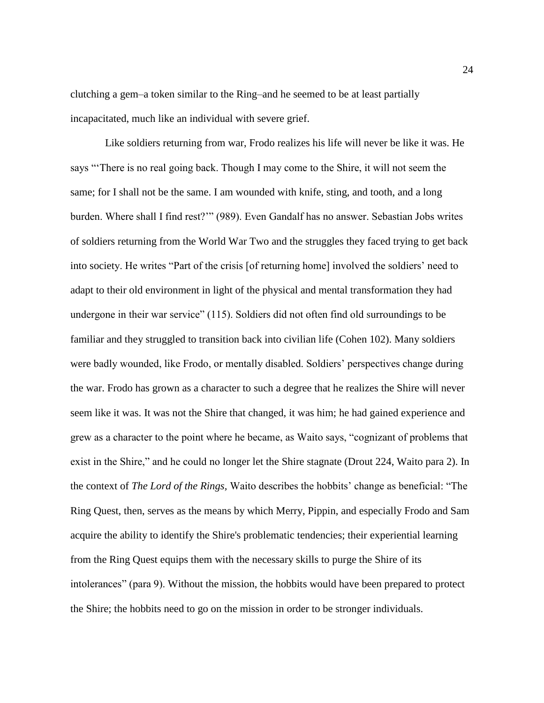clutching a gem–a token similar to the Ring–and he seemed to be at least partially incapacitated, much like an individual with severe grief.

Like soldiers returning from war, Frodo realizes his life will never be like it was. He says "'There is no real going back. Though I may come to the Shire, it will not seem the same; for I shall not be the same. I am wounded with knife, sting, and tooth, and a long burden. Where shall I find rest?'" (989). Even Gandalf has no answer. Sebastian Jobs writes of soldiers returning from the World War Two and the struggles they faced trying to get back into society. He writes "Part of the crisis [of returning home] involved the soldiers' need to adapt to their old environment in light of the physical and mental transformation they had undergone in their war service" (115). Soldiers did not often find old surroundings to be familiar and they struggled to transition back into civilian life (Cohen 102). Many soldiers were badly wounded, like Frodo, or mentally disabled. Soldiers' perspectives change during the war. Frodo has grown as a character to such a degree that he realizes the Shire will never seem like it was. It was not the Shire that changed, it was him; he had gained experience and grew as a character to the point where he became, as Waito says, "cognizant of problems that exist in the Shire," and he could no longer let the Shire stagnate (Drout 224, Waito para 2). In the context of *The Lord of the Rings,* Waito describes the hobbits' change as beneficial: "The Ring Quest, then, serves as the means by which Merry, Pippin, and especially Frodo and Sam acquire the ability to identify the Shire's problematic tendencies; their experiential learning from the Ring Quest equips them with the necessary skills to purge the Shire of its intolerances" (para 9). Without the mission, the hobbits would have been prepared to protect the Shire; the hobbits need to go on the mission in order to be stronger individuals.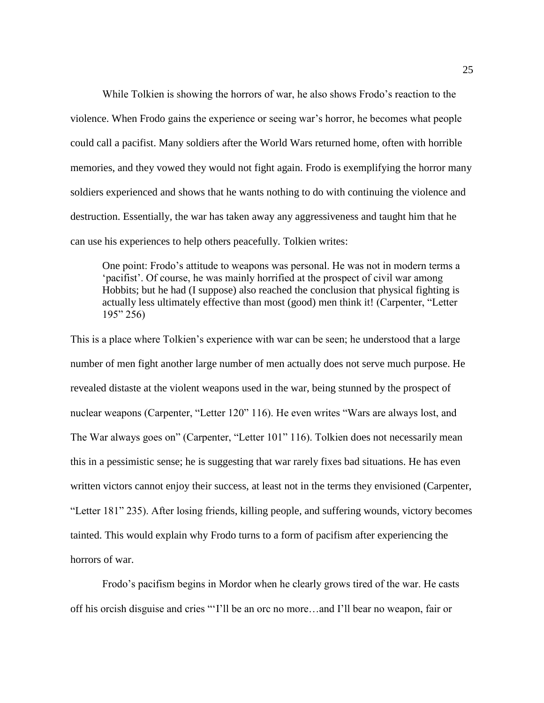While Tolkien is showing the horrors of war, he also shows Frodo's reaction to the violence. When Frodo gains the experience or seeing war's horror, he becomes what people could call a pacifist. Many soldiers after the World Wars returned home, often with horrible memories, and they vowed they would not fight again. Frodo is exemplifying the horror many soldiers experienced and shows that he wants nothing to do with continuing the violence and destruction. Essentially, the war has taken away any aggressiveness and taught him that he can use his experiences to help others peacefully. Tolkien writes:

One point: Frodo's attitude to weapons was personal. He was not in modern terms a 'pacifist'. Of course, he was mainly horrified at the prospect of civil war among Hobbits; but he had (I suppose) also reached the conclusion that physical fighting is actually less ultimately effective than most (good) men think it! (Carpenter, "Letter 195" 256)

This is a place where Tolkien's experience with war can be seen; he understood that a large number of men fight another large number of men actually does not serve much purpose. He revealed distaste at the violent weapons used in the war, being stunned by the prospect of nuclear weapons (Carpenter, "Letter 120" 116). He even writes "Wars are always lost, and The War always goes on" (Carpenter, "Letter 101" 116). Tolkien does not necessarily mean this in a pessimistic sense; he is suggesting that war rarely fixes bad situations. He has even written victors cannot enjoy their success, at least not in the terms they envisioned (Carpenter, "Letter 181" 235). After losing friends, killing people, and suffering wounds, victory becomes tainted. This would explain why Frodo turns to a form of pacifism after experiencing the horrors of war.

Frodo's pacifism begins in Mordor when he clearly grows tired of the war. He casts off his orcish disguise and cries "'I'll be an orc no more…and I'll bear no weapon, fair or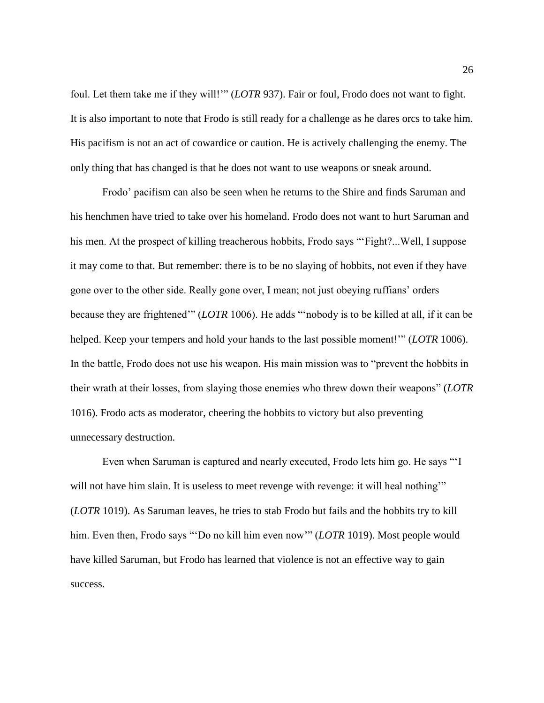foul. Let them take me if they will!'" (*LOTR* 937). Fair or foul, Frodo does not want to fight. It is also important to note that Frodo is still ready for a challenge as he dares orcs to take him. His pacifism is not an act of cowardice or caution. He is actively challenging the enemy. The only thing that has changed is that he does not want to use weapons or sneak around.

Frodo' pacifism can also be seen when he returns to the Shire and finds Saruman and his henchmen have tried to take over his homeland. Frodo does not want to hurt Saruman and his men. At the prospect of killing treacherous hobbits, Frodo says "'Fight?...Well, I suppose it may come to that. But remember: there is to be no slaying of hobbits, not even if they have gone over to the other side. Really gone over, I mean; not just obeying ruffians' orders because they are frightened'" (*LOTR* 1006). He adds "'nobody is to be killed at all, if it can be helped. Keep your tempers and hold your hands to the last possible moment!'" (*LOTR* 1006). In the battle, Frodo does not use his weapon. His main mission was to "prevent the hobbits in their wrath at their losses, from slaying those enemies who threw down their weapons" (*LOTR*  1016). Frodo acts as moderator, cheering the hobbits to victory but also preventing unnecessary destruction.

Even when Saruman is captured and nearly executed, Frodo lets him go. He says "'I will not have him slain. It is useless to meet revenge with revenge: it will heal nothing" (*LOTR* 1019). As Saruman leaves, he tries to stab Frodo but fails and the hobbits try to kill him. Even then, Frodo says "'Do no kill him even now'" (*LOTR* 1019). Most people would have killed Saruman, but Frodo has learned that violence is not an effective way to gain success.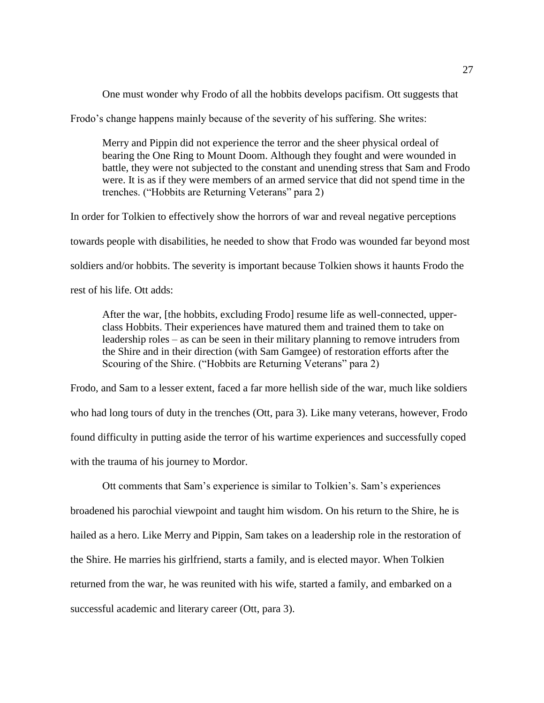One must wonder why Frodo of all the hobbits develops pacifism. Ott suggests that

Frodo's change happens mainly because of the severity of his suffering. She writes:

Merry and Pippin did not experience the terror and the sheer physical ordeal of bearing the One Ring to Mount Doom. Although they fought and were wounded in battle, they were not subjected to the constant and unending stress that Sam and Frodo were. It is as if they were members of an armed service that did not spend time in the trenches. ("Hobbits are Returning Veterans" para 2)

In order for Tolkien to effectively show the horrors of war and reveal negative perceptions towards people with disabilities, he needed to show that Frodo was wounded far beyond most soldiers and/or hobbits. The severity is important because Tolkien shows it haunts Frodo the rest of his life. Ott adds:

After the war, [the hobbits, excluding Frodo] resume life as well-connected, upperclass Hobbits. Their experiences have matured them and trained them to take on leadership roles – as can be seen in their military planning to remove intruders from the Shire and in their direction (with Sam Gamgee) of restoration efforts after the Scouring of the Shire. ("Hobbits are Returning Veterans" para 2)

Frodo, and Sam to a lesser extent, faced a far more hellish side of the war, much like soldiers who had long tours of duty in the trenches (Ott, para 3). Like many veterans, however, Frodo found difficulty in putting aside the terror of his wartime experiences and successfully coped with the trauma of his journey to Mordor.

Ott comments that Sam's experience is similar to Tolkien's. Sam's experiences broadened his parochial viewpoint and taught him wisdom. On his return to the Shire, he is hailed as a hero. Like Merry and Pippin, Sam takes on a leadership role in the restoration of the Shire. He marries his girlfriend, starts a family, and is elected mayor. When Tolkien returned from the war, he was reunited with his wife, started a family, and embarked on a successful academic and literary career (Ott, para 3).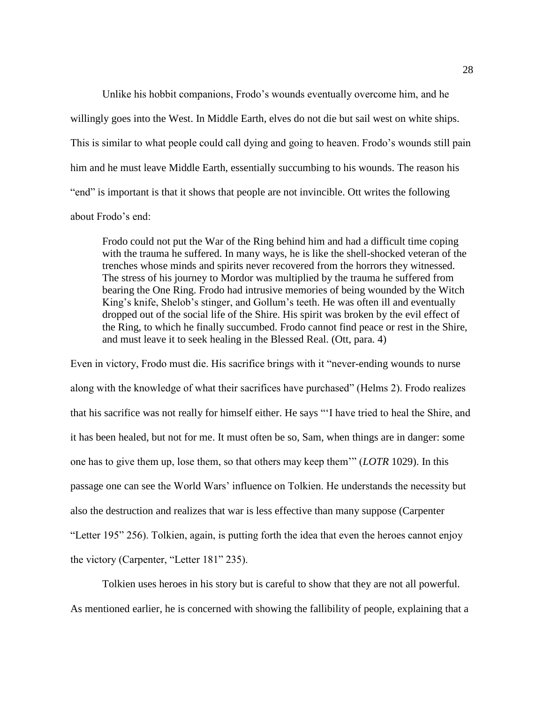Unlike his hobbit companions, Frodo's wounds eventually overcome him, and he willingly goes into the West. In Middle Earth, elves do not die but sail west on white ships. This is similar to what people could call dying and going to heaven. Frodo's wounds still pain him and he must leave Middle Earth, essentially succumbing to his wounds. The reason his "end" is important is that it shows that people are not invincible. Ott writes the following about Frodo's end:

Frodo could not put the War of the Ring behind him and had a difficult time coping with the trauma he suffered. In many ways, he is like the shell-shocked veteran of the trenches whose minds and spirits never recovered from the horrors they witnessed. The stress of his journey to Mordor was multiplied by the trauma he suffered from bearing the One Ring. Frodo had intrusive memories of being wounded by the Witch King's knife, Shelob's stinger, and Gollum's teeth. He was often ill and eventually dropped out of the social life of the Shire. His spirit was broken by the evil effect of the Ring, to which he finally succumbed. Frodo cannot find peace or rest in the Shire, and must leave it to seek healing in the Blessed Real. (Ott, para. 4)

Even in victory, Frodo must die. His sacrifice brings with it "never-ending wounds to nurse along with the knowledge of what their sacrifices have purchased" (Helms 2). Frodo realizes that his sacrifice was not really for himself either. He says "'I have tried to heal the Shire, and it has been healed, but not for me. It must often be so, Sam, when things are in danger: some one has to give them up, lose them, so that others may keep them'" (*LOTR* 1029). In this passage one can see the World Wars' influence on Tolkien. He understands the necessity but also the destruction and realizes that war is less effective than many suppose (Carpenter "Letter 195" 256). Tolkien, again, is putting forth the idea that even the heroes cannot enjoy the victory (Carpenter, "Letter 181" 235).

Tolkien uses heroes in his story but is careful to show that they are not all powerful. As mentioned earlier, he is concerned with showing the fallibility of people, explaining that a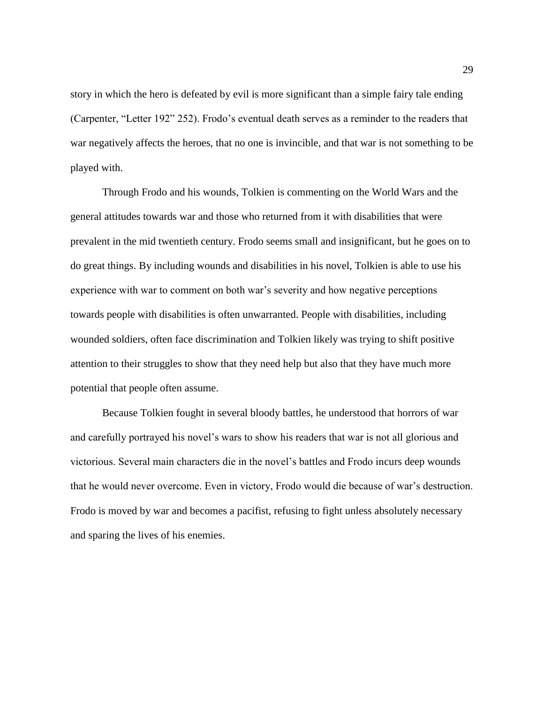story in which the hero is defeated by evil is more significant than a simple fairy tale ending (Carpenter, "Letter 192" 252). Frodo's eventual death serves as a reminder to the readers that war negatively affects the heroes, that no one is invincible, and that war is not something to be played with.

Through Frodo and his wounds, Tolkien is commenting on the World Wars and the general attitudes towards war and those who returned from it with disabilities that were prevalent in the mid twentieth century. Frodo seems small and insignificant, but he goes on to do great things. By including wounds and disabilities in his novel, Tolkien is able to use his experience with war to comment on both war's severity and how negative perceptions towards people with disabilities is often unwarranted. People with disabilities, including wounded soldiers, often face discrimination and Tolkien likely was trying to shift positive attention to their struggles to show that they need help but also that they have much more potential that people often assume.

Because Tolkien fought in several bloody battles, he understood that horrors of war and carefully portrayed his novel's wars to show his readers that war is not all glorious and victorious. Several main characters die in the novel's battles and Frodo incurs deep wounds that he would never overcome. Even in victory, Frodo would die because of war's destruction. Frodo is moved by war and becomes a pacifist, refusing to fight unless absolutely necessary and sparing the lives of his enemies.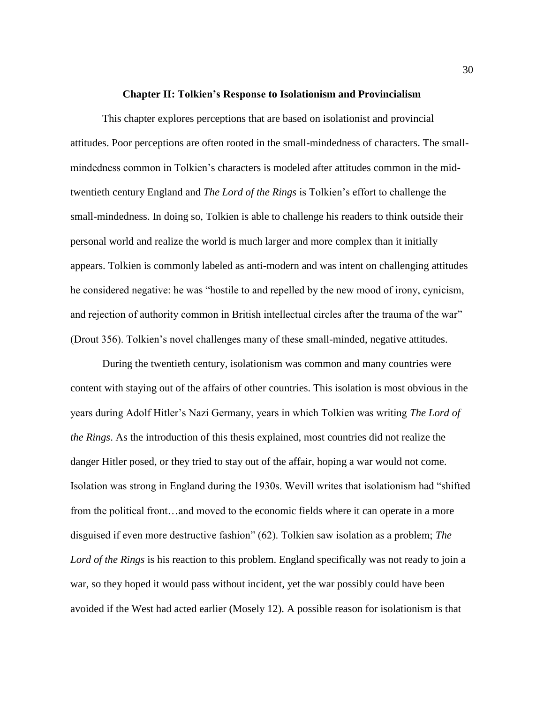#### **Chapter II: Tolkien's Response to Isolationism and Provincialism**

This chapter explores perceptions that are based on isolationist and provincial attitudes. Poor perceptions are often rooted in the small-mindedness of characters. The smallmindedness common in Tolkien's characters is modeled after attitudes common in the midtwentieth century England and *The Lord of the Rings* is Tolkien's effort to challenge the small-mindedness. In doing so, Tolkien is able to challenge his readers to think outside their personal world and realize the world is much larger and more complex than it initially appears. Tolkien is commonly labeled as anti-modern and was intent on challenging attitudes he considered negative: he was "hostile to and repelled by the new mood of irony, cynicism, and rejection of authority common in British intellectual circles after the trauma of the war" (Drout 356). Tolkien's novel challenges many of these small-minded, negative attitudes.

During the twentieth century, isolationism was common and many countries were content with staying out of the affairs of other countries. This isolation is most obvious in the years during Adolf Hitler's Nazi Germany, years in which Tolkien was writing *The Lord of the Rings*. As the introduction of this thesis explained, most countries did not realize the danger Hitler posed, or they tried to stay out of the affair, hoping a war would not come. Isolation was strong in England during the 1930s. Wevill writes that isolationism had "shifted from the political front…and moved to the economic fields where it can operate in a more disguised if even more destructive fashion" (62). Tolkien saw isolation as a problem; *The Lord of the Rings* is his reaction to this problem. England specifically was not ready to join a war, so they hoped it would pass without incident, yet the war possibly could have been avoided if the West had acted earlier (Mosely 12). A possible reason for isolationism is that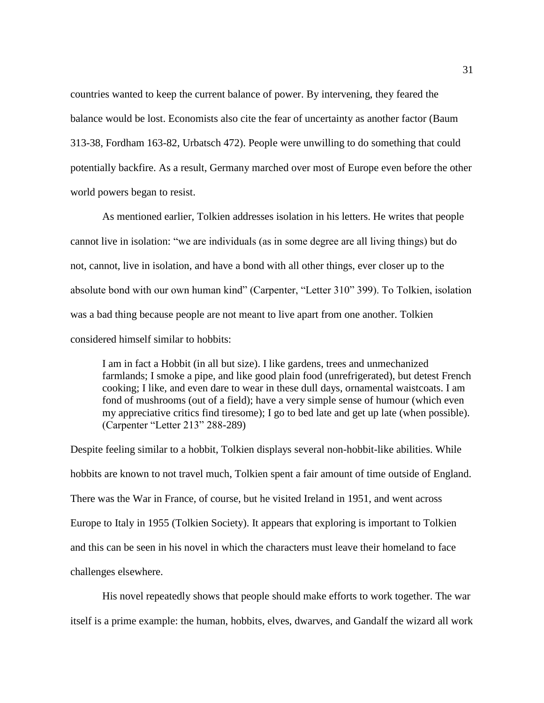countries wanted to keep the current balance of power. By intervening, they feared the balance would be lost. Economists also cite the fear of uncertainty as another factor (Baum 313-38, Fordham 163-82, Urbatsch 472). People were unwilling to do something that could potentially backfire. As a result, Germany marched over most of Europe even before the other world powers began to resist.

As mentioned earlier, Tolkien addresses isolation in his letters. He writes that people cannot live in isolation: "we are individuals (as in some degree are all living things) but do not, cannot, live in isolation, and have a bond with all other things, ever closer up to the absolute bond with our own human kind" (Carpenter, "Letter 310" 399). To Tolkien, isolation was a bad thing because people are not meant to live apart from one another. Tolkien considered himself similar to hobbits:

I am in fact a Hobbit (in all but size). I like gardens, trees and unmechanized farmlands; I smoke a pipe, and like good plain food (unrefrigerated), but detest French cooking; I like, and even dare to wear in these dull days, ornamental waistcoats. I am fond of mushrooms (out of a field); have a very simple sense of humour (which even my appreciative critics find tiresome); I go to bed late and get up late (when possible). (Carpenter "Letter 213" 288-289)

Despite feeling similar to a hobbit, Tolkien displays several non-hobbit-like abilities. While hobbits are known to not travel much, Tolkien spent a fair amount of time outside of England. There was the War in France, of course, but he visited Ireland in 1951, and went across Europe to Italy in 1955 (Tolkien Society). It appears that exploring is important to Tolkien and this can be seen in his novel in which the characters must leave their homeland to face challenges elsewhere.

His novel repeatedly shows that people should make efforts to work together. The war itself is a prime example: the human, hobbits, elves, dwarves, and Gandalf the wizard all work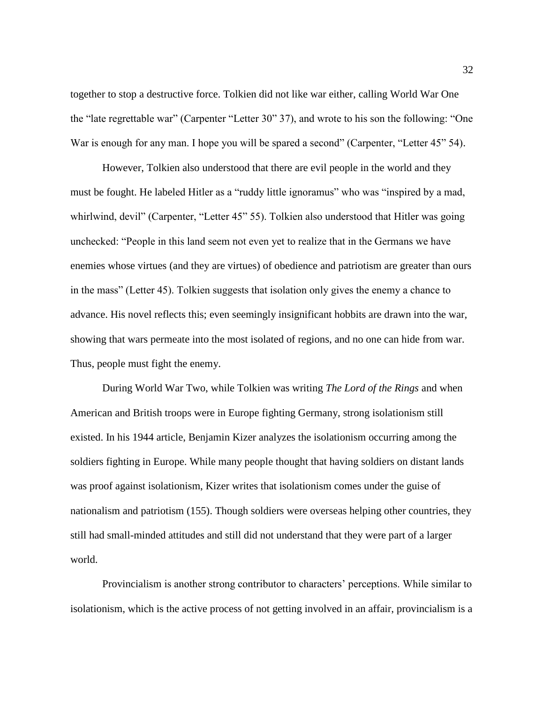together to stop a destructive force. Tolkien did not like war either, calling World War One the "late regrettable war" (Carpenter "Letter 30" 37), and wrote to his son the following: "One War is enough for any man. I hope you will be spared a second" (Carpenter, "Letter 45" 54).

However, Tolkien also understood that there are evil people in the world and they must be fought. He labeled Hitler as a "ruddy little ignoramus" who was "inspired by a mad, whirlwind, devil" (Carpenter, "Letter 45" 55). Tolkien also understood that Hitler was going unchecked: "People in this land seem not even yet to realize that in the Germans we have enemies whose virtues (and they are virtues) of obedience and patriotism are greater than ours in the mass" (Letter 45). Tolkien suggests that isolation only gives the enemy a chance to advance. His novel reflects this; even seemingly insignificant hobbits are drawn into the war, showing that wars permeate into the most isolated of regions, and no one can hide from war. Thus, people must fight the enemy.

During World War Two, while Tolkien was writing *The Lord of the Rings* and when American and British troops were in Europe fighting Germany, strong isolationism still existed. In his 1944 article, Benjamin Kizer analyzes the isolationism occurring among the soldiers fighting in Europe. While many people thought that having soldiers on distant lands was proof against isolationism, Kizer writes that isolationism comes under the guise of nationalism and patriotism (155). Though soldiers were overseas helping other countries, they still had small-minded attitudes and still did not understand that they were part of a larger world.

Provincialism is another strong contributor to characters' perceptions. While similar to isolationism, which is the active process of not getting involved in an affair, provincialism is a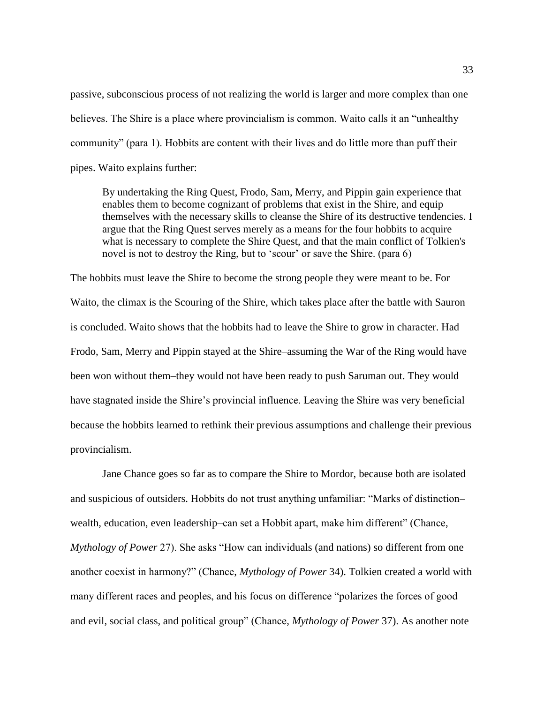passive, subconscious process of not realizing the world is larger and more complex than one believes. The Shire is a place where provincialism is common. Waito calls it an "unhealthy community" (para 1). Hobbits are content with their lives and do little more than puff their pipes. Waito explains further:

By undertaking the Ring Quest, Frodo, Sam, Merry, and Pippin gain experience that enables them to become cognizant of problems that exist in the Shire, and equip themselves with the necessary skills to cleanse the Shire of its destructive tendencies. I argue that the Ring Quest serves merely as a means for the four hobbits to acquire what is necessary to complete the Shire Quest, and that the main conflict of Tolkien's novel is not to destroy the Ring, but to 'scour' or save the Shire. (para 6)

The hobbits must leave the Shire to become the strong people they were meant to be. For Waito, the climax is the Scouring of the Shire, which takes place after the battle with Sauron is concluded. Waito shows that the hobbits had to leave the Shire to grow in character. Had Frodo, Sam, Merry and Pippin stayed at the Shire–assuming the War of the Ring would have been won without them–they would not have been ready to push Saruman out. They would have stagnated inside the Shire's provincial influence. Leaving the Shire was very beneficial because the hobbits learned to rethink their previous assumptions and challenge their previous provincialism.

Jane Chance goes so far as to compare the Shire to Mordor, because both are isolated and suspicious of outsiders. Hobbits do not trust anything unfamiliar: "Marks of distinction– wealth, education, even leadership–can set a Hobbit apart, make him different" (Chance, *Mythology of Power* 27). She asks "How can individuals (and nations) so different from one another coexist in harmony?" (Chance, *Mythology of Power* 34). Tolkien created a world with many different races and peoples, and his focus on difference "polarizes the forces of good and evil, social class, and political group" (Chance, *Mythology of Power* 37). As another note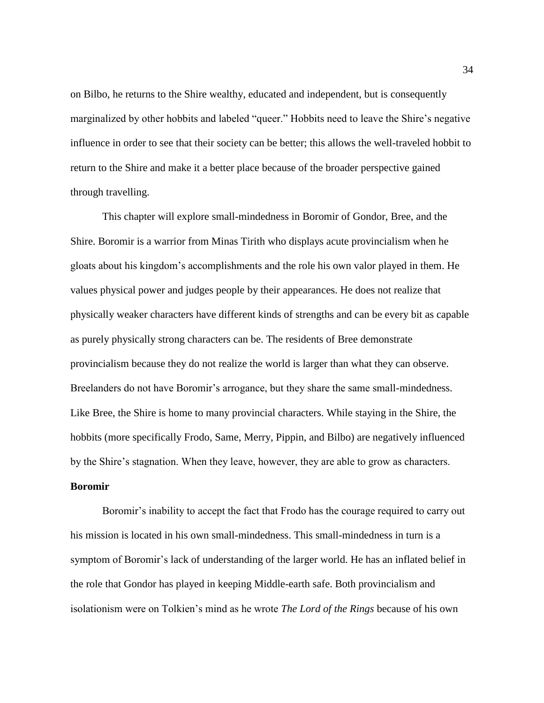on Bilbo, he returns to the Shire wealthy, educated and independent, but is consequently marginalized by other hobbits and labeled "queer." Hobbits need to leave the Shire's negative influence in order to see that their society can be better; this allows the well-traveled hobbit to return to the Shire and make it a better place because of the broader perspective gained through travelling.

This chapter will explore small-mindedness in Boromir of Gondor, Bree, and the Shire. Boromir is a warrior from Minas Tirith who displays acute provincialism when he gloats about his kingdom's accomplishments and the role his own valor played in them. He values physical power and judges people by their appearances. He does not realize that physically weaker characters have different kinds of strengths and can be every bit as capable as purely physically strong characters can be. The residents of Bree demonstrate provincialism because they do not realize the world is larger than what they can observe. Breelanders do not have Boromir's arrogance, but they share the same small-mindedness. Like Bree, the Shire is home to many provincial characters. While staying in the Shire, the hobbits (more specifically Frodo, Same, Merry, Pippin, and Bilbo) are negatively influenced by the Shire's stagnation. When they leave, however, they are able to grow as characters.

### **Boromir**

Boromir's inability to accept the fact that Frodo has the courage required to carry out his mission is located in his own small-mindedness. This small-mindedness in turn is a symptom of Boromir's lack of understanding of the larger world. He has an inflated belief in the role that Gondor has played in keeping Middle-earth safe. Both provincialism and isolationism were on Tolkien's mind as he wrote *The Lord of the Rings* because of his own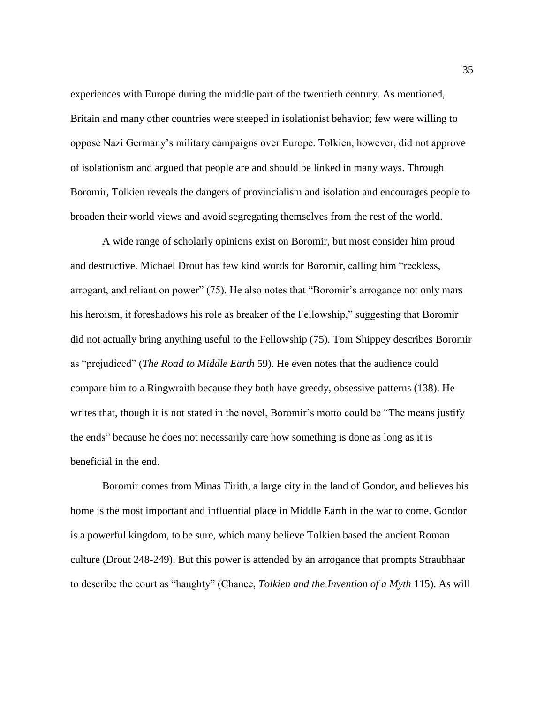experiences with Europe during the middle part of the twentieth century. As mentioned, Britain and many other countries were steeped in isolationist behavior; few were willing to oppose Nazi Germany's military campaigns over Europe. Tolkien, however, did not approve of isolationism and argued that people are and should be linked in many ways. Through Boromir, Tolkien reveals the dangers of provincialism and isolation and encourages people to broaden their world views and avoid segregating themselves from the rest of the world.

A wide range of scholarly opinions exist on Boromir, but most consider him proud and destructive. Michael Drout has few kind words for Boromir, calling him "reckless, arrogant, and reliant on power" (75). He also notes that "Boromir's arrogance not only mars his heroism, it foreshadows his role as breaker of the Fellowship," suggesting that Boromir did not actually bring anything useful to the Fellowship (75). Tom Shippey describes Boromir as "prejudiced" (*The Road to Middle Earth* 59). He even notes that the audience could compare him to a Ringwraith because they both have greedy, obsessive patterns (138). He writes that, though it is not stated in the novel, Boromir's motto could be "The means justify the ends" because he does not necessarily care how something is done as long as it is beneficial in the end.

Boromir comes from Minas Tirith, a large city in the land of Gondor, and believes his home is the most important and influential place in Middle Earth in the war to come. Gondor is a powerful kingdom, to be sure, which many believe Tolkien based the ancient Roman culture (Drout 248-249). But this power is attended by an arrogance that prompts Straubhaar to describe the court as "haughty" (Chance, *Tolkien and the Invention of a Myth* 115). As will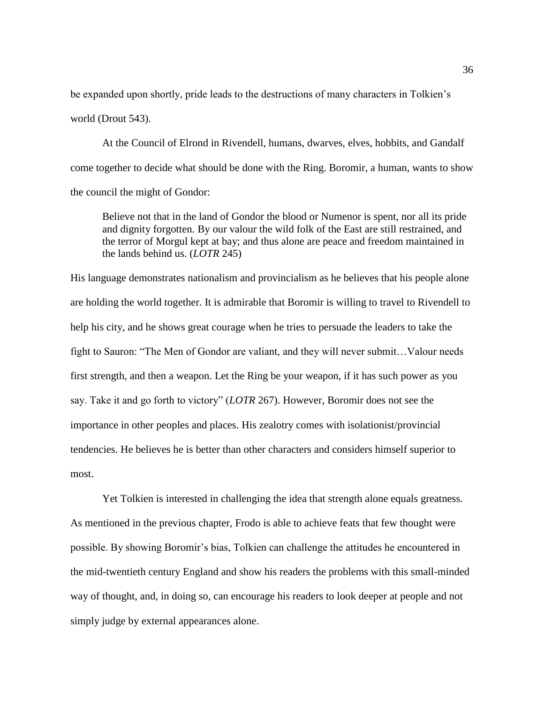be expanded upon shortly, pride leads to the destructions of many characters in Tolkien's world (Drout 543).

At the Council of Elrond in Rivendell, humans, dwarves, elves, hobbits, and Gandalf come together to decide what should be done with the Ring. Boromir, a human, wants to show the council the might of Gondor:

Believe not that in the land of Gondor the blood or Numenor is spent, nor all its pride and dignity forgotten. By our valour the wild folk of the East are still restrained, and the terror of Morgul kept at bay; and thus alone are peace and freedom maintained in the lands behind us. (*LOTR* 245)

His language demonstrates nationalism and provincialism as he believes that his people alone are holding the world together. It is admirable that Boromir is willing to travel to Rivendell to help his city, and he shows great courage when he tries to persuade the leaders to take the fight to Sauron: "The Men of Gondor are valiant, and they will never submit…Valour needs first strength, and then a weapon. Let the Ring be your weapon, if it has such power as you say. Take it and go forth to victory" (*LOTR* 267). However, Boromir does not see the importance in other peoples and places. His zealotry comes with isolationist/provincial tendencies. He believes he is better than other characters and considers himself superior to most.

Yet Tolkien is interested in challenging the idea that strength alone equals greatness. As mentioned in the previous chapter, Frodo is able to achieve feats that few thought were possible. By showing Boromir's bias, Tolkien can challenge the attitudes he encountered in the mid-twentieth century England and show his readers the problems with this small-minded way of thought, and, in doing so, can encourage his readers to look deeper at people and not simply judge by external appearances alone.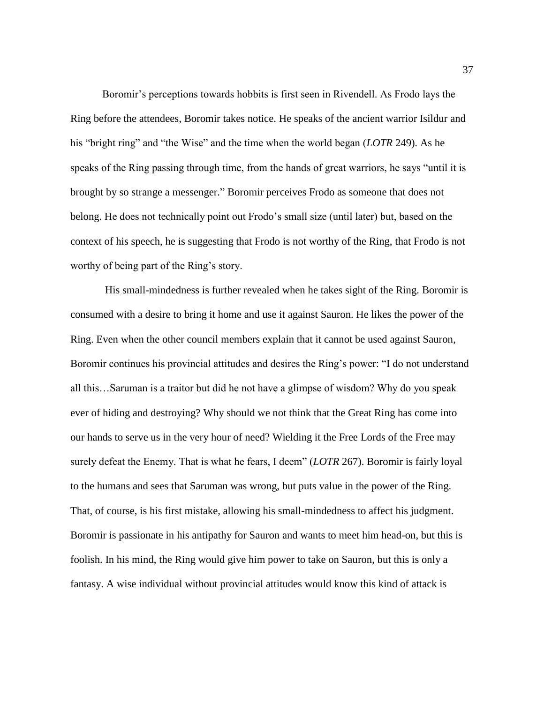Boromir's perceptions towards hobbits is first seen in Rivendell. As Frodo lays the Ring before the attendees, Boromir takes notice. He speaks of the ancient warrior Isildur and his "bright ring" and "the Wise" and the time when the world began (*LOTR* 249). As he speaks of the Ring passing through time, from the hands of great warriors, he says "until it is brought by so strange a messenger." Boromir perceives Frodo as someone that does not belong. He does not technically point out Frodo's small size (until later) but, based on the context of his speech, he is suggesting that Frodo is not worthy of the Ring, that Frodo is not worthy of being part of the Ring's story.

His small-mindedness is further revealed when he takes sight of the Ring. Boromir is consumed with a desire to bring it home and use it against Sauron. He likes the power of the Ring. Even when the other council members explain that it cannot be used against Sauron, Boromir continues his provincial attitudes and desires the Ring's power: "I do not understand all this…Saruman is a traitor but did he not have a glimpse of wisdom? Why do you speak ever of hiding and destroying? Why should we not think that the Great Ring has come into our hands to serve us in the very hour of need? Wielding it the Free Lords of the Free may surely defeat the Enemy. That is what he fears, I deem" (*LOTR* 267). Boromir is fairly loyal to the humans and sees that Saruman was wrong, but puts value in the power of the Ring. That, of course, is his first mistake, allowing his small-mindedness to affect his judgment. Boromir is passionate in his antipathy for Sauron and wants to meet him head-on, but this is foolish. In his mind, the Ring would give him power to take on Sauron, but this is only a fantasy. A wise individual without provincial attitudes would know this kind of attack is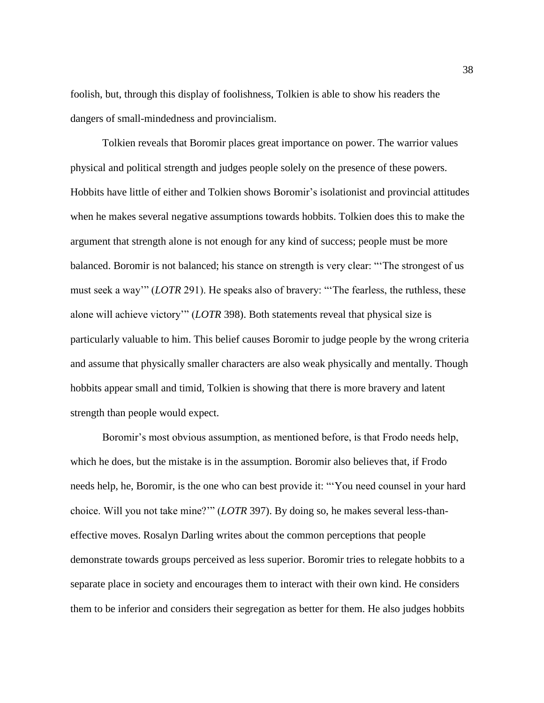foolish, but, through this display of foolishness, Tolkien is able to show his readers the dangers of small-mindedness and provincialism.

Tolkien reveals that Boromir places great importance on power. The warrior values physical and political strength and judges people solely on the presence of these powers. Hobbits have little of either and Tolkien shows Boromir's isolationist and provincial attitudes when he makes several negative assumptions towards hobbits. Tolkien does this to make the argument that strength alone is not enough for any kind of success; people must be more balanced. Boromir is not balanced; his stance on strength is very clear: "'The strongest of us must seek a way'" (*LOTR* 291). He speaks also of bravery: "'The fearless, the ruthless, these alone will achieve victory'" (*LOTR* 398). Both statements reveal that physical size is particularly valuable to him. This belief causes Boromir to judge people by the wrong criteria and assume that physically smaller characters are also weak physically and mentally. Though hobbits appear small and timid, Tolkien is showing that there is more bravery and latent strength than people would expect.

Boromir's most obvious assumption, as mentioned before, is that Frodo needs help, which he does, but the mistake is in the assumption. Boromir also believes that, if Frodo needs help, he, Boromir, is the one who can best provide it: "'You need counsel in your hard choice. Will you not take mine?'" (*LOTR* 397). By doing so, he makes several less-thaneffective moves. Rosalyn Darling writes about the common perceptions that people demonstrate towards groups perceived as less superior. Boromir tries to relegate hobbits to a separate place in society and encourages them to interact with their own kind. He considers them to be inferior and considers their segregation as better for them. He also judges hobbits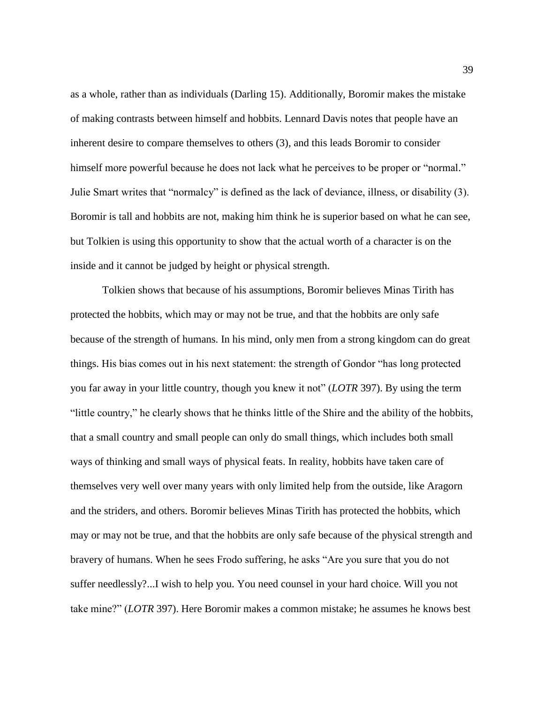as a whole, rather than as individuals (Darling 15). Additionally, Boromir makes the mistake of making contrasts between himself and hobbits. Lennard Davis notes that people have an inherent desire to compare themselves to others (3), and this leads Boromir to consider himself more powerful because he does not lack what he perceives to be proper or "normal." Julie Smart writes that "normalcy" is defined as the lack of deviance, illness, or disability (3). Boromir is tall and hobbits are not, making him think he is superior based on what he can see, but Tolkien is using this opportunity to show that the actual worth of a character is on the inside and it cannot be judged by height or physical strength.

Tolkien shows that because of his assumptions, Boromir believes Minas Tirith has protected the hobbits, which may or may not be true, and that the hobbits are only safe because of the strength of humans. In his mind, only men from a strong kingdom can do great things. His bias comes out in his next statement: the strength of Gondor "has long protected you far away in your little country, though you knew it not" (*LOTR* 397). By using the term "little country," he clearly shows that he thinks little of the Shire and the ability of the hobbits, that a small country and small people can only do small things, which includes both small ways of thinking and small ways of physical feats. In reality, hobbits have taken care of themselves very well over many years with only limited help from the outside, like Aragorn and the striders, and others. Boromir believes Minas Tirith has protected the hobbits, which may or may not be true, and that the hobbits are only safe because of the physical strength and bravery of humans. When he sees Frodo suffering, he asks "Are you sure that you do not suffer needlessly?...I wish to help you. You need counsel in your hard choice. Will you not take mine?" (*LOTR* 397). Here Boromir makes a common mistake; he assumes he knows best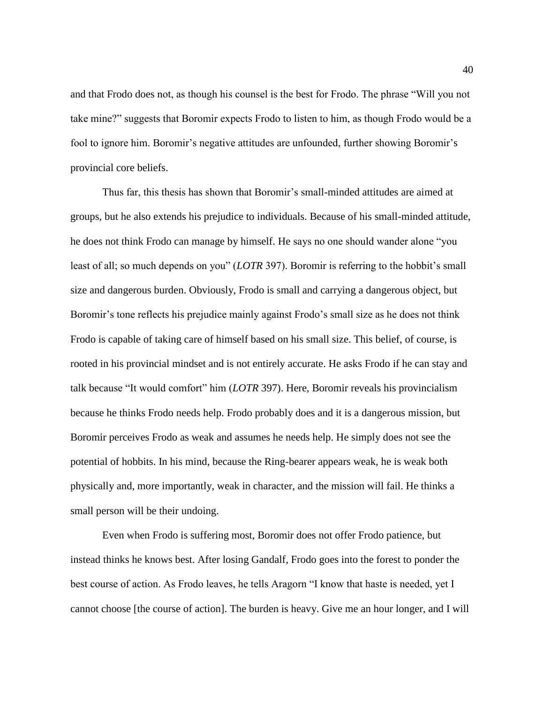and that Frodo does not, as though his counsel is the best for Frodo. The phrase "Will you not take mine?" suggests that Boromir expects Frodo to listen to him, as though Frodo would be a fool to ignore him. Boromir's negative attitudes are unfounded, further showing Boromir's provincial core beliefs.

Thus far, this thesis has shown that Boromir's small-minded attitudes are aimed at groups, but he also extends his prejudice to individuals. Because of his small-minded attitude, he does not think Frodo can manage by himself. He says no one should wander alone "you least of all; so much depends on you" (*LOTR* 397). Boromir is referring to the hobbit's small size and dangerous burden. Obviously, Frodo is small and carrying a dangerous object, but Boromir's tone reflects his prejudice mainly against Frodo's small size as he does not think Frodo is capable of taking care of himself based on his small size. This belief, of course, is rooted in his provincial mindset and is not entirely accurate. He asks Frodo if he can stay and talk because "It would comfort" him (*LOTR* 397). Here, Boromir reveals his provincialism because he thinks Frodo needs help. Frodo probably does and it is a dangerous mission, but Boromir perceives Frodo as weak and assumes he needs help. He simply does not see the potential of hobbits. In his mind, because the Ring-bearer appears weak, he is weak both physically and, more importantly, weak in character, and the mission will fail. He thinks a small person will be their undoing.

Even when Frodo is suffering most, Boromir does not offer Frodo patience, but instead thinks he knows best. After losing Gandalf, Frodo goes into the forest to ponder the best course of action. As Frodo leaves, he tells Aragorn "I know that haste is needed, yet I cannot choose [the course of action]. The burden is heavy. Give me an hour longer, and I will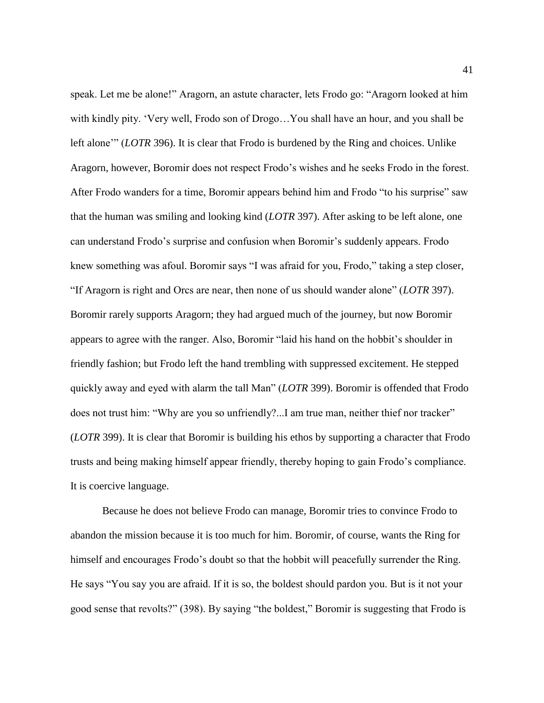speak. Let me be alone!" Aragorn, an astute character, lets Frodo go: "Aragorn looked at him with kindly pity. 'Very well, Frodo son of Drogo…You shall have an hour, and you shall be left alone'" (*LOTR* 396). It is clear that Frodo is burdened by the Ring and choices. Unlike Aragorn, however, Boromir does not respect Frodo's wishes and he seeks Frodo in the forest. After Frodo wanders for a time, Boromir appears behind him and Frodo "to his surprise" saw that the human was smiling and looking kind (*LOTR* 397). After asking to be left alone, one can understand Frodo's surprise and confusion when Boromir's suddenly appears. Frodo knew something was afoul. Boromir says "I was afraid for you, Frodo," taking a step closer, "If Aragorn is right and Orcs are near, then none of us should wander alone" (*LOTR* 397). Boromir rarely supports Aragorn; they had argued much of the journey, but now Boromir appears to agree with the ranger. Also, Boromir "laid his hand on the hobbit's shoulder in friendly fashion; but Frodo left the hand trembling with suppressed excitement. He stepped quickly away and eyed with alarm the tall Man" (*LOTR* 399). Boromir is offended that Frodo does not trust him: "Why are you so unfriendly?...I am true man, neither thief nor tracker" (*LOTR* 399). It is clear that Boromir is building his ethos by supporting a character that Frodo trusts and being making himself appear friendly, thereby hoping to gain Frodo's compliance. It is coercive language.

Because he does not believe Frodo can manage, Boromir tries to convince Frodo to abandon the mission because it is too much for him. Boromir, of course, wants the Ring for himself and encourages Frodo's doubt so that the hobbit will peacefully surrender the Ring. He says "You say you are afraid. If it is so, the boldest should pardon you. But is it not your good sense that revolts?" (398). By saying "the boldest," Boromir is suggesting that Frodo is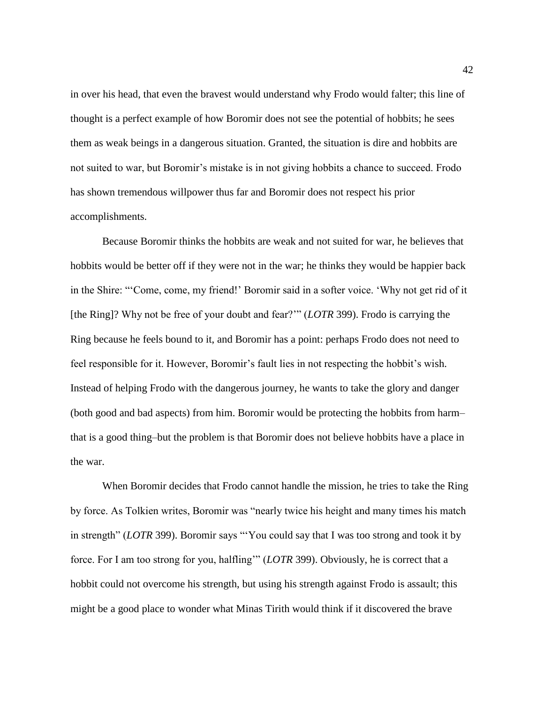in over his head, that even the bravest would understand why Frodo would falter; this line of thought is a perfect example of how Boromir does not see the potential of hobbits; he sees them as weak beings in a dangerous situation. Granted, the situation is dire and hobbits are not suited to war, but Boromir's mistake is in not giving hobbits a chance to succeed. Frodo has shown tremendous willpower thus far and Boromir does not respect his prior accomplishments.

Because Boromir thinks the hobbits are weak and not suited for war, he believes that hobbits would be better off if they were not in the war; he thinks they would be happier back in the Shire: "'Come, come, my friend!' Boromir said in a softer voice. 'Why not get rid of it [the Ring]? Why not be free of your doubt and fear?'" (*LOTR* 399). Frodo is carrying the Ring because he feels bound to it, and Boromir has a point: perhaps Frodo does not need to feel responsible for it. However, Boromir's fault lies in not respecting the hobbit's wish. Instead of helping Frodo with the dangerous journey, he wants to take the glory and danger (both good and bad aspects) from him. Boromir would be protecting the hobbits from harm– that is a good thing–but the problem is that Boromir does not believe hobbits have a place in the war.

When Boromir decides that Frodo cannot handle the mission, he tries to take the Ring by force. As Tolkien writes, Boromir was "nearly twice his height and many times his match in strength" (*LOTR* 399). Boromir says "'You could say that I was too strong and took it by force. For I am too strong for you, halfling'" (*LOTR* 399). Obviously, he is correct that a hobbit could not overcome his strength, but using his strength against Frodo is assault; this might be a good place to wonder what Minas Tirith would think if it discovered the brave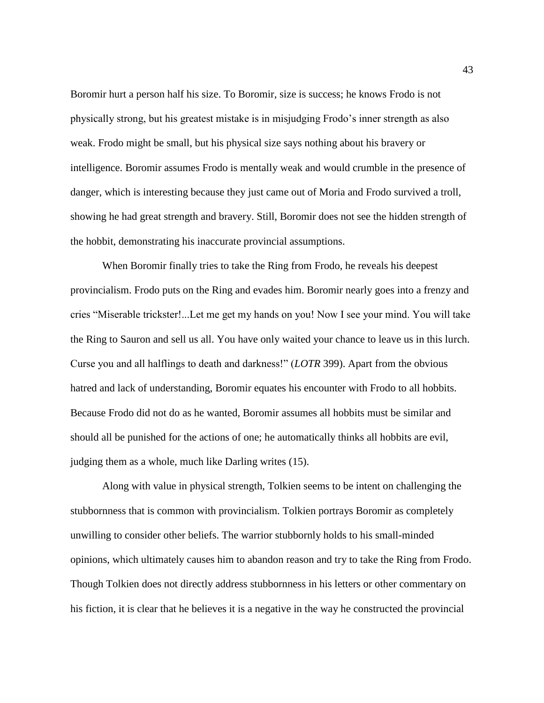Boromir hurt a person half his size. To Boromir, size is success; he knows Frodo is not physically strong, but his greatest mistake is in misjudging Frodo's inner strength as also weak. Frodo might be small, but his physical size says nothing about his bravery or intelligence. Boromir assumes Frodo is mentally weak and would crumble in the presence of danger, which is interesting because they just came out of Moria and Frodo survived a troll, showing he had great strength and bravery. Still, Boromir does not see the hidden strength of the hobbit, demonstrating his inaccurate provincial assumptions.

When Boromir finally tries to take the Ring from Frodo, he reveals his deepest provincialism. Frodo puts on the Ring and evades him. Boromir nearly goes into a frenzy and cries "Miserable trickster!...Let me get my hands on you! Now I see your mind. You will take the Ring to Sauron and sell us all. You have only waited your chance to leave us in this lurch. Curse you and all halflings to death and darkness!" (*LOTR* 399). Apart from the obvious hatred and lack of understanding, Boromir equates his encounter with Frodo to all hobbits. Because Frodo did not do as he wanted, Boromir assumes all hobbits must be similar and should all be punished for the actions of one; he automatically thinks all hobbits are evil, judging them as a whole, much like Darling writes (15).

Along with value in physical strength, Tolkien seems to be intent on challenging the stubbornness that is common with provincialism. Tolkien portrays Boromir as completely unwilling to consider other beliefs. The warrior stubbornly holds to his small-minded opinions, which ultimately causes him to abandon reason and try to take the Ring from Frodo. Though Tolkien does not directly address stubbornness in his letters or other commentary on his fiction, it is clear that he believes it is a negative in the way he constructed the provincial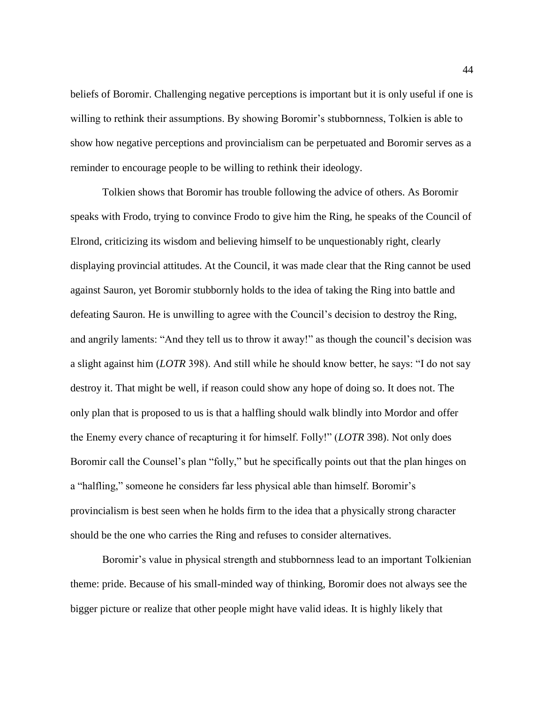beliefs of Boromir. Challenging negative perceptions is important but it is only useful if one is willing to rethink their assumptions. By showing Boromir's stubbornness, Tolkien is able to show how negative perceptions and provincialism can be perpetuated and Boromir serves as a reminder to encourage people to be willing to rethink their ideology.

Tolkien shows that Boromir has trouble following the advice of others. As Boromir speaks with Frodo, trying to convince Frodo to give him the Ring, he speaks of the Council of Elrond, criticizing its wisdom and believing himself to be unquestionably right, clearly displaying provincial attitudes. At the Council, it was made clear that the Ring cannot be used against Sauron, yet Boromir stubbornly holds to the idea of taking the Ring into battle and defeating Sauron. He is unwilling to agree with the Council's decision to destroy the Ring, and angrily laments: "And they tell us to throw it away!" as though the council's decision was a slight against him (*LOTR* 398). And still while he should know better, he says: "I do not say destroy it. That might be well, if reason could show any hope of doing so. It does not. The only plan that is proposed to us is that a halfling should walk blindly into Mordor and offer the Enemy every chance of recapturing it for himself. Folly!" (*LOTR* 398). Not only does Boromir call the Counsel's plan "folly," but he specifically points out that the plan hinges on a "halfling," someone he considers far less physical able than himself. Boromir's provincialism is best seen when he holds firm to the idea that a physically strong character should be the one who carries the Ring and refuses to consider alternatives.

Boromir's value in physical strength and stubbornness lead to an important Tolkienian theme: pride. Because of his small-minded way of thinking, Boromir does not always see the bigger picture or realize that other people might have valid ideas. It is highly likely that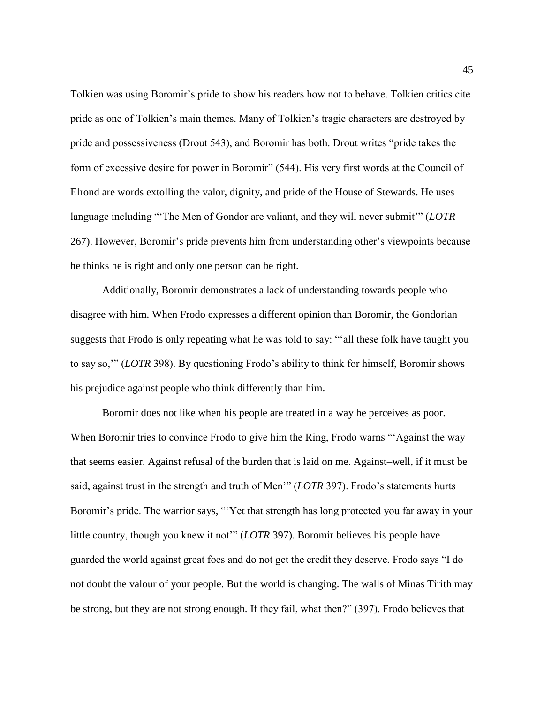Tolkien was using Boromir's pride to show his readers how not to behave. Tolkien critics cite pride as one of Tolkien's main themes. Many of Tolkien's tragic characters are destroyed by pride and possessiveness (Drout 543), and Boromir has both. Drout writes "pride takes the form of excessive desire for power in Boromir" (544). His very first words at the Council of Elrond are words extolling the valor, dignity, and pride of the House of Stewards. He uses language including "'The Men of Gondor are valiant, and they will never submit'" (*LOTR*  267). However, Boromir's pride prevents him from understanding other's viewpoints because he thinks he is right and only one person can be right.

Additionally, Boromir demonstrates a lack of understanding towards people who disagree with him. When Frodo expresses a different opinion than Boromir, the Gondorian suggests that Frodo is only repeating what he was told to say: "'all these folk have taught you to say so,'" (*LOTR* 398). By questioning Frodo's ability to think for himself, Boromir shows his prejudice against people who think differently than him.

Boromir does not like when his people are treated in a way he perceives as poor. When Boromir tries to convince Frodo to give him the Ring, Frodo warns "Against the way that seems easier. Against refusal of the burden that is laid on me. Against–well, if it must be said, against trust in the strength and truth of Men'" (*LOTR* 397). Frodo's statements hurts Boromir's pride. The warrior says, "'Yet that strength has long protected you far away in your little country, though you knew it not'" (*LOTR* 397). Boromir believes his people have guarded the world against great foes and do not get the credit they deserve. Frodo says "I do not doubt the valour of your people. But the world is changing. The walls of Minas Tirith may be strong, but they are not strong enough. If they fail, what then?" (397). Frodo believes that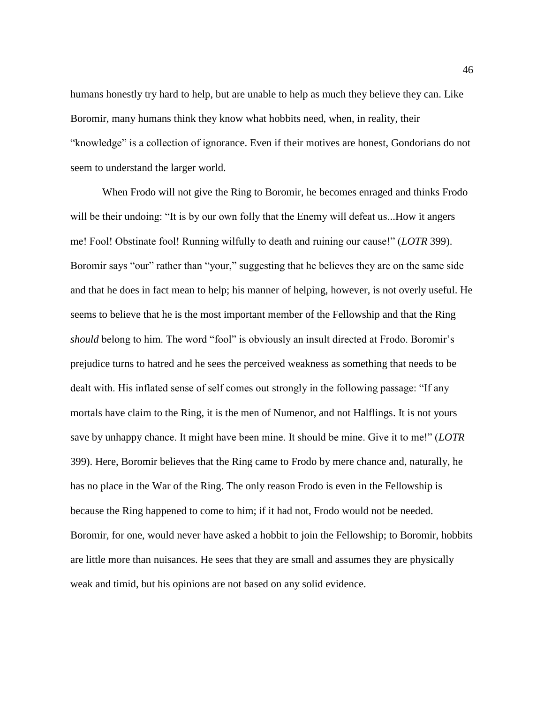humans honestly try hard to help, but are unable to help as much they believe they can. Like Boromir, many humans think they know what hobbits need, when, in reality, their "knowledge" is a collection of ignorance. Even if their motives are honest, Gondorians do not seem to understand the larger world.

When Frodo will not give the Ring to Boromir, he becomes enraged and thinks Frodo will be their undoing: "It is by our own folly that the Enemy will defeat us...How it angers me! Fool! Obstinate fool! Running wilfully to death and ruining our cause!" (*LOTR* 399). Boromir says "our" rather than "your," suggesting that he believes they are on the same side and that he does in fact mean to help; his manner of helping, however, is not overly useful. He seems to believe that he is the most important member of the Fellowship and that the Ring *should* belong to him. The word "fool" is obviously an insult directed at Frodo. Boromir's prejudice turns to hatred and he sees the perceived weakness as something that needs to be dealt with. His inflated sense of self comes out strongly in the following passage: "If any mortals have claim to the Ring, it is the men of Numenor, and not Halflings. It is not yours save by unhappy chance. It might have been mine. It should be mine. Give it to me!" (*LOTR* 399). Here, Boromir believes that the Ring came to Frodo by mere chance and, naturally, he has no place in the War of the Ring. The only reason Frodo is even in the Fellowship is because the Ring happened to come to him; if it had not, Frodo would not be needed. Boromir, for one, would never have asked a hobbit to join the Fellowship; to Boromir, hobbits are little more than nuisances. He sees that they are small and assumes they are physically weak and timid, but his opinions are not based on any solid evidence.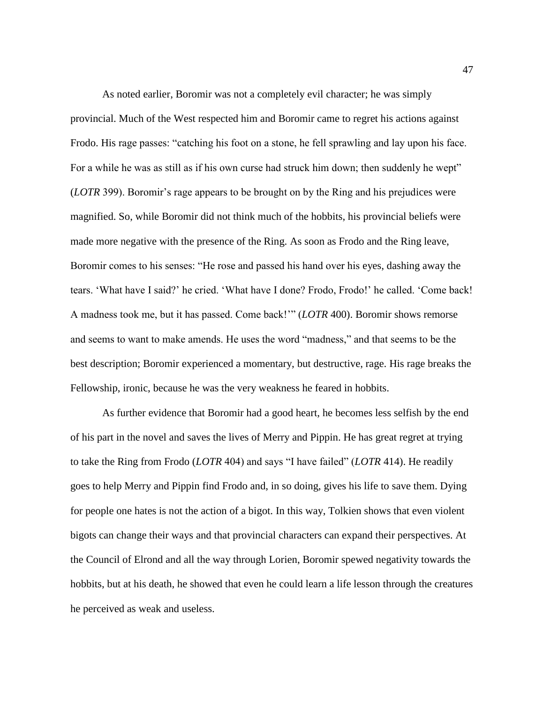As noted earlier, Boromir was not a completely evil character; he was simply provincial. Much of the West respected him and Boromir came to regret his actions against Frodo. His rage passes: "catching his foot on a stone, he fell sprawling and lay upon his face. For a while he was as still as if his own curse had struck him down; then suddenly he wept" (*LOTR* 399). Boromir's rage appears to be brought on by the Ring and his prejudices were magnified. So, while Boromir did not think much of the hobbits, his provincial beliefs were made more negative with the presence of the Ring. As soon as Frodo and the Ring leave, Boromir comes to his senses: "He rose and passed his hand over his eyes, dashing away the tears. 'What have I said?' he cried. 'What have I done? Frodo, Frodo!' he called. 'Come back! A madness took me, but it has passed. Come back!'" (*LOTR* 400). Boromir shows remorse and seems to want to make amends. He uses the word "madness," and that seems to be the best description; Boromir experienced a momentary, but destructive, rage. His rage breaks the Fellowship, ironic, because he was the very weakness he feared in hobbits.

As further evidence that Boromir had a good heart, he becomes less selfish by the end of his part in the novel and saves the lives of Merry and Pippin. He has great regret at trying to take the Ring from Frodo (*LOTR* 404) and says "I have failed" (*LOTR* 414). He readily goes to help Merry and Pippin find Frodo and, in so doing, gives his life to save them. Dying for people one hates is not the action of a bigot. In this way, Tolkien shows that even violent bigots can change their ways and that provincial characters can expand their perspectives. At the Council of Elrond and all the way through Lorien, Boromir spewed negativity towards the hobbits, but at his death, he showed that even he could learn a life lesson through the creatures he perceived as weak and useless.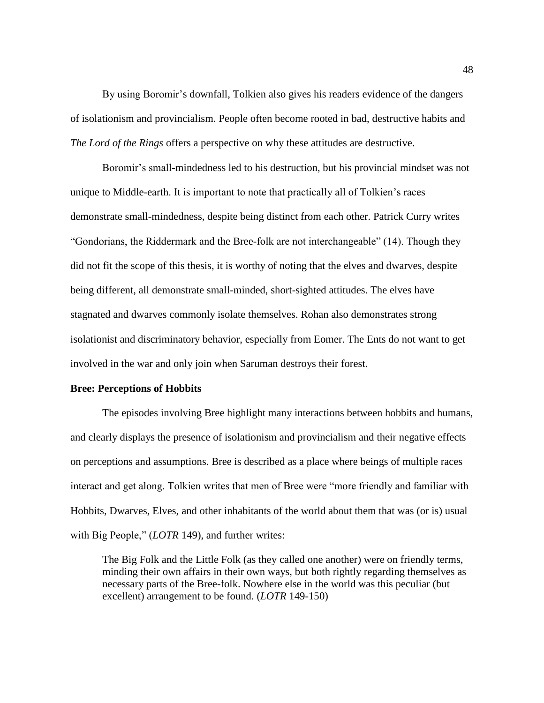By using Boromir's downfall, Tolkien also gives his readers evidence of the dangers of isolationism and provincialism. People often become rooted in bad, destructive habits and *The Lord of the Rings* offers a perspective on why these attitudes are destructive.

Boromir's small-mindedness led to his destruction, but his provincial mindset was not unique to Middle-earth. It is important to note that practically all of Tolkien's races demonstrate small-mindedness, despite being distinct from each other. Patrick Curry writes "Gondorians, the Riddermark and the Bree-folk are not interchangeable" (14). Though they did not fit the scope of this thesis, it is worthy of noting that the elves and dwarves, despite being different, all demonstrate small-minded, short-sighted attitudes. The elves have stagnated and dwarves commonly isolate themselves. Rohan also demonstrates strong isolationist and discriminatory behavior, especially from Eomer. The Ents do not want to get involved in the war and only join when Saruman destroys their forest.

#### **Bree: Perceptions of Hobbits**

The episodes involving Bree highlight many interactions between hobbits and humans, and clearly displays the presence of isolationism and provincialism and their negative effects on perceptions and assumptions. Bree is described as a place where beings of multiple races interact and get along. Tolkien writes that men of Bree were "more friendly and familiar with Hobbits, Dwarves, Elves, and other inhabitants of the world about them that was (or is) usual with Big People," (*LOTR* 149), and further writes:

The Big Folk and the Little Folk (as they called one another) were on friendly terms, minding their own affairs in their own ways, but both rightly regarding themselves as necessary parts of the Bree-folk. Nowhere else in the world was this peculiar (but excellent) arrangement to be found. (*LOTR* 149-150)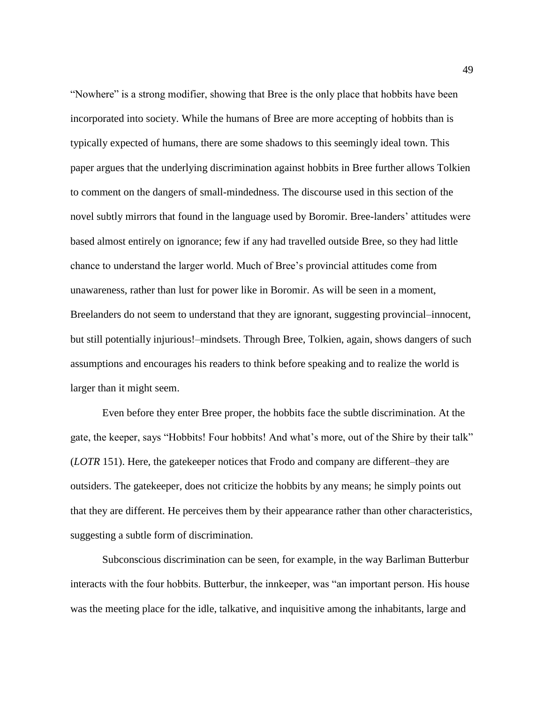"Nowhere" is a strong modifier, showing that Bree is the only place that hobbits have been incorporated into society. While the humans of Bree are more accepting of hobbits than is typically expected of humans, there are some shadows to this seemingly ideal town. This paper argues that the underlying discrimination against hobbits in Bree further allows Tolkien to comment on the dangers of small-mindedness. The discourse used in this section of the novel subtly mirrors that found in the language used by Boromir. Bree-landers' attitudes were based almost entirely on ignorance; few if any had travelled outside Bree, so they had little chance to understand the larger world. Much of Bree's provincial attitudes come from unawareness, rather than lust for power like in Boromir. As will be seen in a moment, Breelanders do not seem to understand that they are ignorant, suggesting provincial–innocent, but still potentially injurious!–mindsets. Through Bree, Tolkien, again, shows dangers of such assumptions and encourages his readers to think before speaking and to realize the world is larger than it might seem.

Even before they enter Bree proper, the hobbits face the subtle discrimination. At the gate, the keeper, says "Hobbits! Four hobbits! And what's more, out of the Shire by their talk" (*LOTR* 151). Here, the gatekeeper notices that Frodo and company are different–they are outsiders. The gatekeeper, does not criticize the hobbits by any means; he simply points out that they are different. He perceives them by their appearance rather than other characteristics, suggesting a subtle form of discrimination.

Subconscious discrimination can be seen, for example, in the way Barliman Butterbur interacts with the four hobbits. Butterbur, the innkeeper, was "an important person. His house was the meeting place for the idle, talkative, and inquisitive among the inhabitants, large and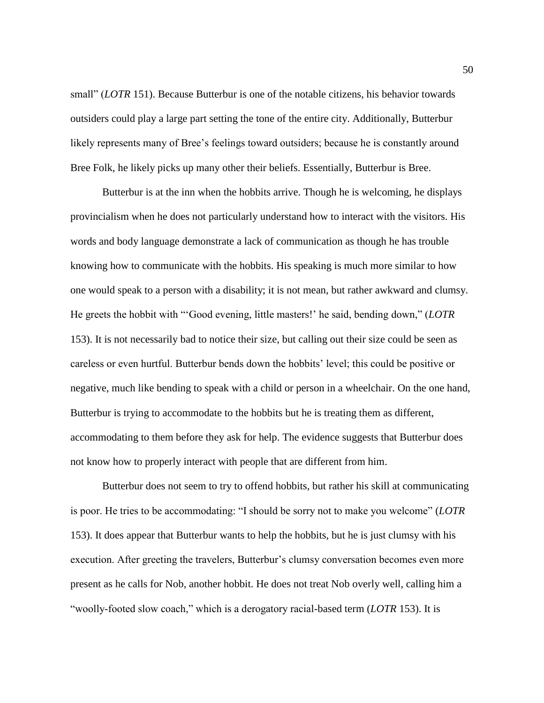small" (*LOTR* 151). Because Butterbur is one of the notable citizens, his behavior towards outsiders could play a large part setting the tone of the entire city. Additionally, Butterbur likely represents many of Bree's feelings toward outsiders; because he is constantly around Bree Folk, he likely picks up many other their beliefs. Essentially, Butterbur is Bree.

Butterbur is at the inn when the hobbits arrive. Though he is welcoming, he displays provincialism when he does not particularly understand how to interact with the visitors. His words and body language demonstrate a lack of communication as though he has trouble knowing how to communicate with the hobbits. His speaking is much more similar to how one would speak to a person with a disability; it is not mean, but rather awkward and clumsy. He greets the hobbit with "'Good evening, little masters!' he said, bending down," (*LOTR* 153). It is not necessarily bad to notice their size, but calling out their size could be seen as careless or even hurtful. Butterbur bends down the hobbits' level; this could be positive or negative, much like bending to speak with a child or person in a wheelchair. On the one hand, Butterbur is trying to accommodate to the hobbits but he is treating them as different, accommodating to them before they ask for help. The evidence suggests that Butterbur does not know how to properly interact with people that are different from him.

Butterbur does not seem to try to offend hobbits, but rather his skill at communicating is poor. He tries to be accommodating: "I should be sorry not to make you welcome" (*LOTR* 153). It does appear that Butterbur wants to help the hobbits, but he is just clumsy with his execution. After greeting the travelers, Butterbur's clumsy conversation becomes even more present as he calls for Nob, another hobbit. He does not treat Nob overly well, calling him a "woolly-footed slow coach," which is a derogatory racial-based term (*LOTR* 153). It is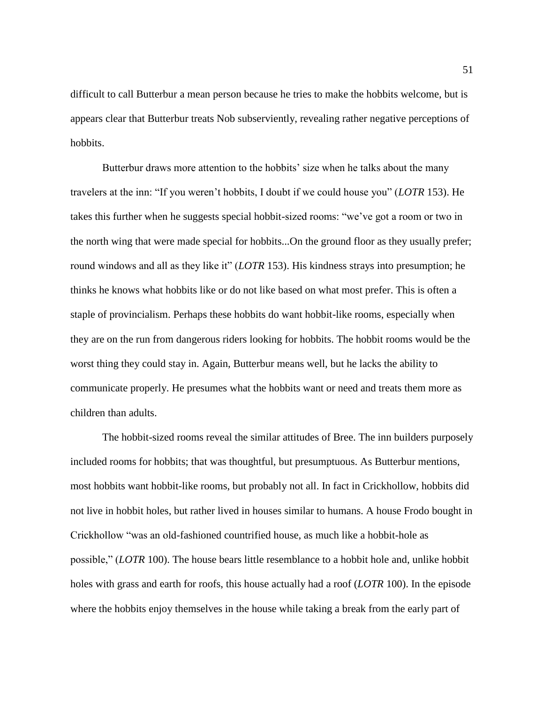difficult to call Butterbur a mean person because he tries to make the hobbits welcome, but is appears clear that Butterbur treats Nob subserviently, revealing rather negative perceptions of hobbits.

Butterbur draws more attention to the hobbits' size when he talks about the many travelers at the inn: "If you weren't hobbits, I doubt if we could house you" (*LOTR* 153). He takes this further when he suggests special hobbit-sized rooms: "we've got a room or two in the north wing that were made special for hobbits...On the ground floor as they usually prefer; round windows and all as they like it" (*LOTR* 153). His kindness strays into presumption; he thinks he knows what hobbits like or do not like based on what most prefer. This is often a staple of provincialism. Perhaps these hobbits do want hobbit-like rooms, especially when they are on the run from dangerous riders looking for hobbits. The hobbit rooms would be the worst thing they could stay in. Again, Butterbur means well, but he lacks the ability to communicate properly. He presumes what the hobbits want or need and treats them more as children than adults.

The hobbit-sized rooms reveal the similar attitudes of Bree. The inn builders purposely included rooms for hobbits; that was thoughtful, but presumptuous. As Butterbur mentions, most hobbits want hobbit-like rooms, but probably not all. In fact in Crickhollow, hobbits did not live in hobbit holes, but rather lived in houses similar to humans. A house Frodo bought in Crickhollow "was an old-fashioned countrified house, as much like a hobbit-hole as possible," (*LOTR* 100). The house bears little resemblance to a hobbit hole and, unlike hobbit holes with grass and earth for roofs, this house actually had a roof (*LOTR* 100). In the episode where the hobbits enjoy themselves in the house while taking a break from the early part of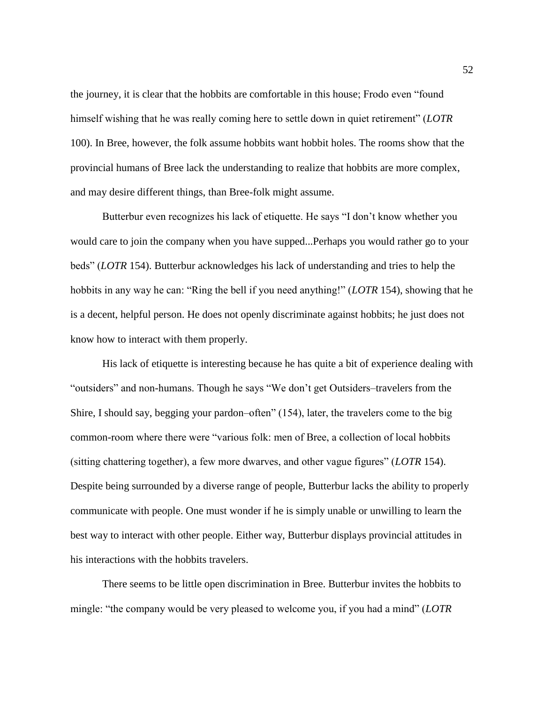the journey, it is clear that the hobbits are comfortable in this house; Frodo even "found himself wishing that he was really coming here to settle down in quiet retirement" (*LOTR*  100). In Bree, however, the folk assume hobbits want hobbit holes. The rooms show that the provincial humans of Bree lack the understanding to realize that hobbits are more complex, and may desire different things, than Bree-folk might assume.

Butterbur even recognizes his lack of etiquette. He says "I don't know whether you would care to join the company when you have supped...Perhaps you would rather go to your beds" (*LOTR* 154). Butterbur acknowledges his lack of understanding and tries to help the hobbits in any way he can: "Ring the bell if you need anything!" (*LOTR* 154), showing that he is a decent, helpful person. He does not openly discriminate against hobbits; he just does not know how to interact with them properly.

His lack of etiquette is interesting because he has quite a bit of experience dealing with "outsiders" and non-humans. Though he says "We don't get Outsiders–travelers from the Shire, I should say, begging your pardon–often" (154), later, the travelers come to the big common-room where there were "various folk: men of Bree, a collection of local hobbits (sitting chattering together), a few more dwarves, and other vague figures" (*LOTR* 154). Despite being surrounded by a diverse range of people, Butterbur lacks the ability to properly communicate with people. One must wonder if he is simply unable or unwilling to learn the best way to interact with other people. Either way, Butterbur displays provincial attitudes in his interactions with the hobbits travelers.

There seems to be little open discrimination in Bree. Butterbur invites the hobbits to mingle: "the company would be very pleased to welcome you, if you had a mind" (*LOTR*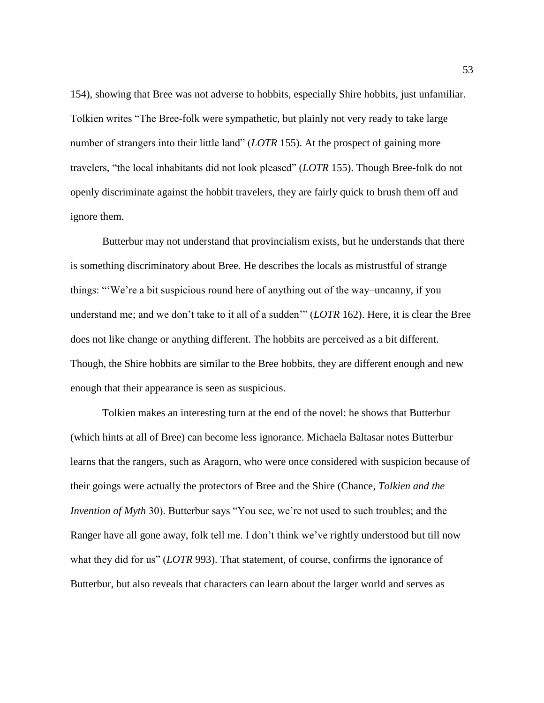154), showing that Bree was not adverse to hobbits, especially Shire hobbits, just unfamiliar. Tolkien writes "The Bree-folk were sympathetic, but plainly not very ready to take large number of strangers into their little land" (*LOTR* 155). At the prospect of gaining more travelers, "the local inhabitants did not look pleased" (*LOTR* 155). Though Bree-folk do not openly discriminate against the hobbit travelers, they are fairly quick to brush them off and ignore them.

Butterbur may not understand that provincialism exists, but he understands that there is something discriminatory about Bree. He describes the locals as mistrustful of strange things: "'We're a bit suspicious round here of anything out of the way–uncanny, if you understand me; and we don't take to it all of a sudden'" (*LOTR* 162). Here, it is clear the Bree does not like change or anything different. The hobbits are perceived as a bit different. Though, the Shire hobbits are similar to the Bree hobbits, they are different enough and new enough that their appearance is seen as suspicious.

Tolkien makes an interesting turn at the end of the novel: he shows that Butterbur (which hints at all of Bree) can become less ignorance. Michaela Baltasar notes Butterbur learns that the rangers, such as Aragorn, who were once considered with suspicion because of their goings were actually the protectors of Bree and the Shire (Chance, *Tolkien and the Invention of Myth* 30). Butterbur says "You see, we're not used to such troubles; and the Ranger have all gone away, folk tell me. I don't think we've rightly understood but till now what they did for us" (*LOTR* 993). That statement, of course, confirms the ignorance of Butterbur, but also reveals that characters can learn about the larger world and serves as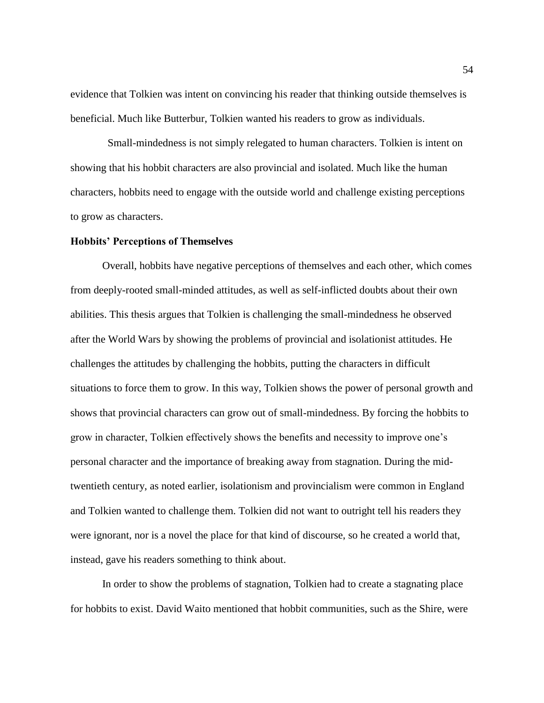evidence that Tolkien was intent on convincing his reader that thinking outside themselves is beneficial. Much like Butterbur, Tolkien wanted his readers to grow as individuals.

 Small-mindedness is not simply relegated to human characters. Tolkien is intent on showing that his hobbit characters are also provincial and isolated. Much like the human characters, hobbits need to engage with the outside world and challenge existing perceptions to grow as characters.

#### **Hobbits' Perceptions of Themselves**

Overall, hobbits have negative perceptions of themselves and each other, which comes from deeply-rooted small-minded attitudes, as well as self-inflicted doubts about their own abilities. This thesis argues that Tolkien is challenging the small-mindedness he observed after the World Wars by showing the problems of provincial and isolationist attitudes. He challenges the attitudes by challenging the hobbits, putting the characters in difficult situations to force them to grow. In this way, Tolkien shows the power of personal growth and shows that provincial characters can grow out of small-mindedness. By forcing the hobbits to grow in character, Tolkien effectively shows the benefits and necessity to improve one's personal character and the importance of breaking away from stagnation. During the midtwentieth century, as noted earlier, isolationism and provincialism were common in England and Tolkien wanted to challenge them. Tolkien did not want to outright tell his readers they were ignorant, nor is a novel the place for that kind of discourse, so he created a world that, instead, gave his readers something to think about.

In order to show the problems of stagnation, Tolkien had to create a stagnating place for hobbits to exist. David Waito mentioned that hobbit communities, such as the Shire, were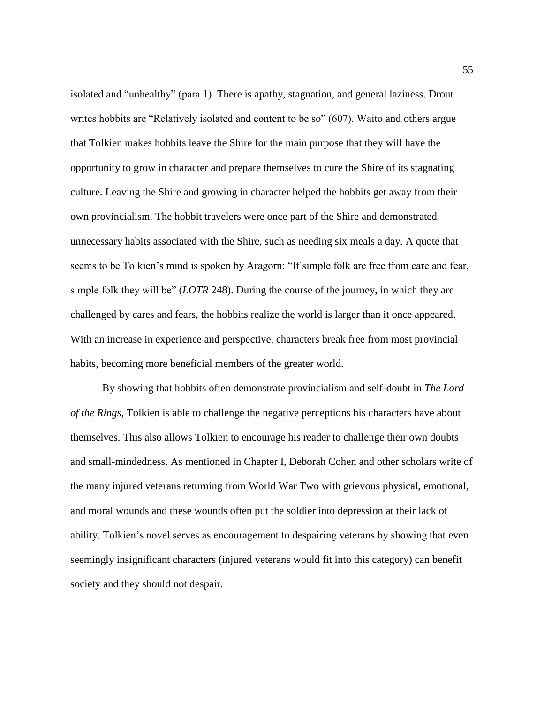isolated and "unhealthy" (para 1). There is apathy, stagnation, and general laziness. Drout writes hobbits are "Relatively isolated and content to be so" (607). Waito and others argue that Tolkien makes hobbits leave the Shire for the main purpose that they will have the opportunity to grow in character and prepare themselves to cure the Shire of its stagnating culture. Leaving the Shire and growing in character helped the hobbits get away from their own provincialism. The hobbit travelers were once part of the Shire and demonstrated unnecessary habits associated with the Shire, such as needing six meals a day. A quote that seems to be Tolkien's mind is spoken by Aragorn: "If simple folk are free from care and fear, simple folk they will be" (*LOTR* 248). During the course of the journey, in which they are challenged by cares and fears, the hobbits realize the world is larger than it once appeared. With an increase in experience and perspective, characters break free from most provincial habits, becoming more beneficial members of the greater world.

By showing that hobbits often demonstrate provincialism and self-doubt in *The Lord of the Rings,* Tolkien is able to challenge the negative perceptions his characters have about themselves. This also allows Tolkien to encourage his reader to challenge their own doubts and small-mindedness. As mentioned in Chapter I, Deborah Cohen and other scholars write of the many injured veterans returning from World War Two with grievous physical, emotional, and moral wounds and these wounds often put the soldier into depression at their lack of ability. Tolkien's novel serves as encouragement to despairing veterans by showing that even seemingly insignificant characters (injured veterans would fit into this category) can benefit society and they should not despair.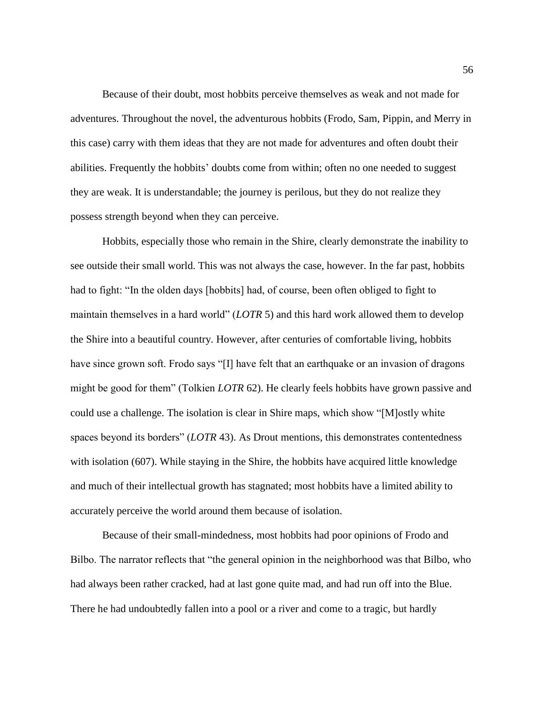Because of their doubt, most hobbits perceive themselves as weak and not made for adventures. Throughout the novel, the adventurous hobbits (Frodo, Sam, Pippin, and Merry in this case) carry with them ideas that they are not made for adventures and often doubt their abilities. Frequently the hobbits' doubts come from within; often no one needed to suggest they are weak. It is understandable; the journey is perilous, but they do not realize they possess strength beyond when they can perceive.

Hobbits, especially those who remain in the Shire, clearly demonstrate the inability to see outside their small world. This was not always the case, however. In the far past, hobbits had to fight: "In the olden days [hobbits] had, of course, been often obliged to fight to maintain themselves in a hard world" (*LOTR* 5) and this hard work allowed them to develop the Shire into a beautiful country. However, after centuries of comfortable living, hobbits have since grown soft. Frodo says "[I] have felt that an earthquake or an invasion of dragons might be good for them" (Tolkien *LOTR* 62). He clearly feels hobbits have grown passive and could use a challenge. The isolation is clear in Shire maps, which show "[M]ostly white spaces beyond its borders" (*LOTR* 43). As Drout mentions, this demonstrates contentedness with isolation (607). While staying in the Shire, the hobbits have acquired little knowledge and much of their intellectual growth has stagnated; most hobbits have a limited ability to accurately perceive the world around them because of isolation.

Because of their small-mindedness, most hobbits had poor opinions of Frodo and Bilbo. The narrator reflects that "the general opinion in the neighborhood was that Bilbo, who had always been rather cracked, had at last gone quite mad, and had run off into the Blue. There he had undoubtedly fallen into a pool or a river and come to a tragic, but hardly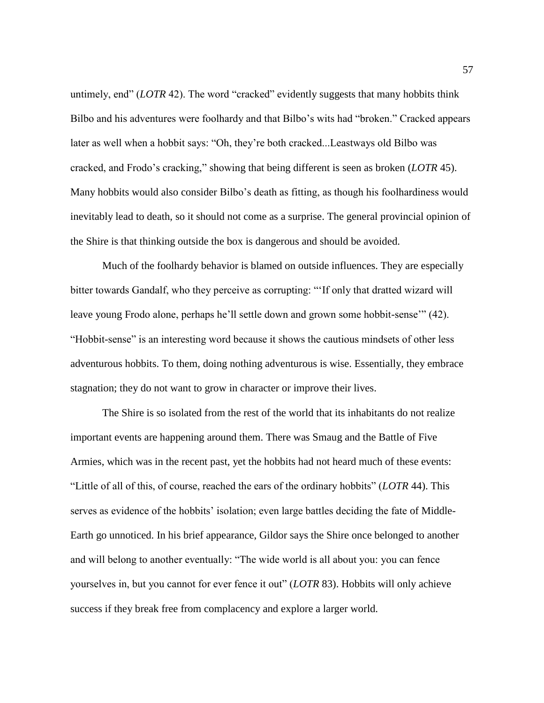untimely, end" (*LOTR* 42). The word "cracked" evidently suggests that many hobbits think Bilbo and his adventures were foolhardy and that Bilbo's wits had "broken." Cracked appears later as well when a hobbit says: "Oh, they're both cracked...Leastways old Bilbo was cracked, and Frodo's cracking," showing that being different is seen as broken (*LOTR* 45). Many hobbits would also consider Bilbo's death as fitting, as though his foolhardiness would inevitably lead to death, so it should not come as a surprise. The general provincial opinion of the Shire is that thinking outside the box is dangerous and should be avoided.

Much of the foolhardy behavior is blamed on outside influences. They are especially bitter towards Gandalf, who they perceive as corrupting: "'If only that dratted wizard will leave young Frodo alone, perhaps he'll settle down and grown some hobbit-sense'" (42). "Hobbit-sense" is an interesting word because it shows the cautious mindsets of other less adventurous hobbits. To them, doing nothing adventurous is wise. Essentially, they embrace stagnation; they do not want to grow in character or improve their lives.

The Shire is so isolated from the rest of the world that its inhabitants do not realize important events are happening around them. There was Smaug and the Battle of Five Armies, which was in the recent past, yet the hobbits had not heard much of these events: "Little of all of this, of course, reached the ears of the ordinary hobbits" (*LOTR* 44). This serves as evidence of the hobbits' isolation; even large battles deciding the fate of Middle-Earth go unnoticed. In his brief appearance, Gildor says the Shire once belonged to another and will belong to another eventually: "The wide world is all about you: you can fence yourselves in, but you cannot for ever fence it out" (*LOTR* 83). Hobbits will only achieve success if they break free from complacency and explore a larger world.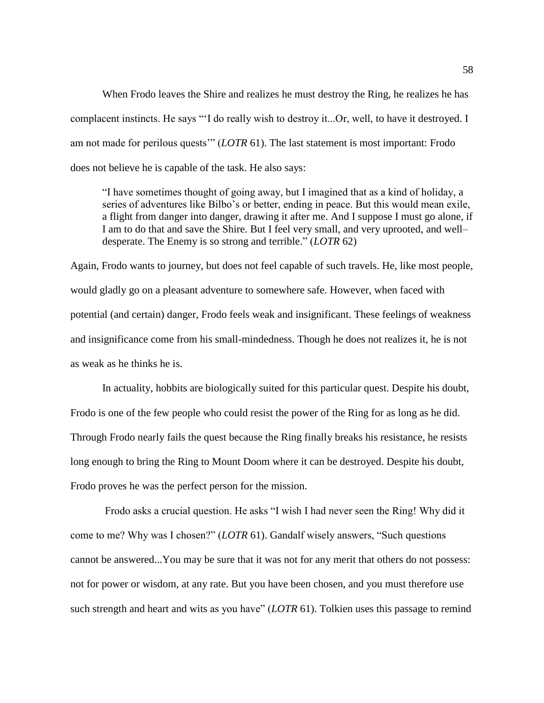When Frodo leaves the Shire and realizes he must destroy the Ring, he realizes he has complacent instincts. He says "'I do really wish to destroy it...Or, well, to have it destroyed. I am not made for perilous quests'" (*LOTR* 61). The last statement is most important: Frodo does not believe he is capable of the task. He also says:

"I have sometimes thought of going away, but I imagined that as a kind of holiday, a series of adventures like Bilbo's or better, ending in peace. But this would mean exile, a flight from danger into danger, drawing it after me. And I suppose I must go alone, if I am to do that and save the Shire. But I feel very small, and very uprooted, and well– desperate. The Enemy is so strong and terrible." (*LOTR* 62)

Again, Frodo wants to journey, but does not feel capable of such travels. He, like most people, would gladly go on a pleasant adventure to somewhere safe. However, when faced with potential (and certain) danger, Frodo feels weak and insignificant. These feelings of weakness and insignificance come from his small-mindedness. Though he does not realizes it, he is not as weak as he thinks he is.

In actuality, hobbits are biologically suited for this particular quest. Despite his doubt, Frodo is one of the few people who could resist the power of the Ring for as long as he did. Through Frodo nearly fails the quest because the Ring finally breaks his resistance, he resists long enough to bring the Ring to Mount Doom where it can be destroyed. Despite his doubt, Frodo proves he was the perfect person for the mission.

Frodo asks a crucial question. He asks "I wish I had never seen the Ring! Why did it come to me? Why was I chosen?" (*LOTR* 61). Gandalf wisely answers, "Such questions cannot be answered...You may be sure that it was not for any merit that others do not possess: not for power or wisdom, at any rate. But you have been chosen, and you must therefore use such strength and heart and wits as you have" (*LOTR* 61). Tolkien uses this passage to remind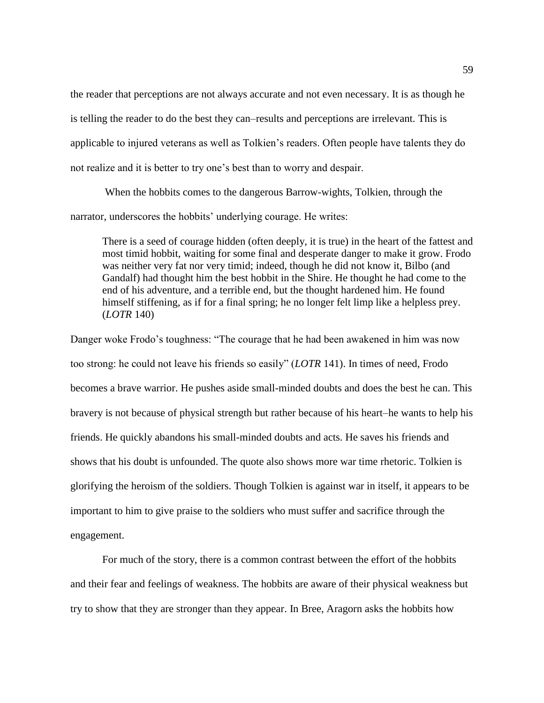the reader that perceptions are not always accurate and not even necessary. It is as though he is telling the reader to do the best they can–results and perceptions are irrelevant. This is applicable to injured veterans as well as Tolkien's readers. Often people have talents they do not realize and it is better to try one's best than to worry and despair.

When the hobbits comes to the dangerous Barrow-wights, Tolkien, through the narrator, underscores the hobbits' underlying courage. He writes:

There is a seed of courage hidden (often deeply, it is true) in the heart of the fattest and most timid hobbit, waiting for some final and desperate danger to make it grow. Frodo was neither very fat nor very timid; indeed, though he did not know it, Bilbo (and Gandalf) had thought him the best hobbit in the Shire. He thought he had come to the end of his adventure, and a terrible end, but the thought hardened him. He found himself stiffening, as if for a final spring; he no longer felt limp like a helpless prey. (*LOTR* 140)

Danger woke Frodo's toughness: "The courage that he had been awakened in him was now too strong: he could not leave his friends so easily" (*LOTR* 141). In times of need, Frodo becomes a brave warrior. He pushes aside small-minded doubts and does the best he can. This bravery is not because of physical strength but rather because of his heart–he wants to help his friends. He quickly abandons his small-minded doubts and acts. He saves his friends and shows that his doubt is unfounded. The quote also shows more war time rhetoric. Tolkien is glorifying the heroism of the soldiers. Though Tolkien is against war in itself, it appears to be important to him to give praise to the soldiers who must suffer and sacrifice through the engagement.

For much of the story, there is a common contrast between the effort of the hobbits and their fear and feelings of weakness. The hobbits are aware of their physical weakness but try to show that they are stronger than they appear. In Bree, Aragorn asks the hobbits how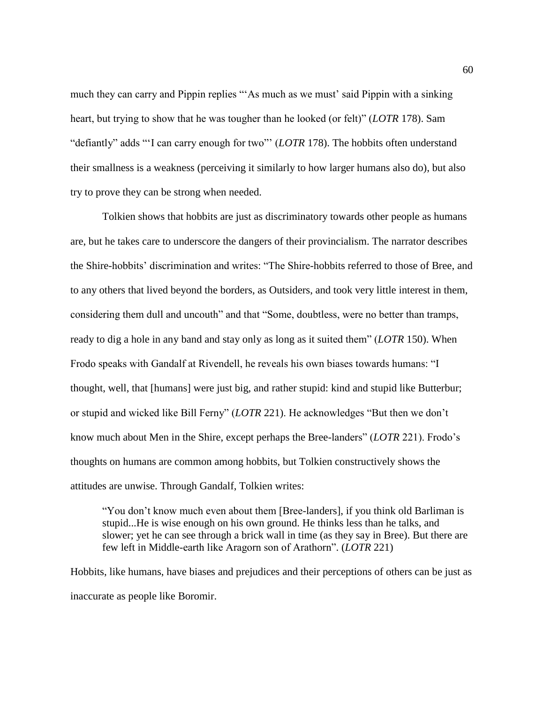much they can carry and Pippin replies "'As much as we must' said Pippin with a sinking heart, but trying to show that he was tougher than he looked (or felt)" (*LOTR* 178). Sam "defiantly" adds "'I can carry enough for two"' (*LOTR* 178). The hobbits often understand their smallness is a weakness (perceiving it similarly to how larger humans also do), but also try to prove they can be strong when needed.

Tolkien shows that hobbits are just as discriminatory towards other people as humans are, but he takes care to underscore the dangers of their provincialism. The narrator describes the Shire-hobbits' discrimination and writes: "The Shire-hobbits referred to those of Bree, and to any others that lived beyond the borders, as Outsiders, and took very little interest in them, considering them dull and uncouth" and that "Some, doubtless, were no better than tramps, ready to dig a hole in any band and stay only as long as it suited them" (*LOTR* 150). When Frodo speaks with Gandalf at Rivendell, he reveals his own biases towards humans: "I thought, well, that [humans] were just big, and rather stupid: kind and stupid like Butterbur; or stupid and wicked like Bill Ferny" (*LOTR* 221). He acknowledges "But then we don't know much about Men in the Shire, except perhaps the Bree-landers" (*LOTR* 221). Frodo's thoughts on humans are common among hobbits, but Tolkien constructively shows the attitudes are unwise. Through Gandalf, Tolkien writes:

"You don't know much even about them [Bree-landers], if you think old Barliman is stupid...He is wise enough on his own ground. He thinks less than he talks, and slower; yet he can see through a brick wall in time (as they say in Bree). But there are few left in Middle-earth like Aragorn son of Arathorn". (*LOTR* 221)

Hobbits, like humans, have biases and prejudices and their perceptions of others can be just as inaccurate as people like Boromir.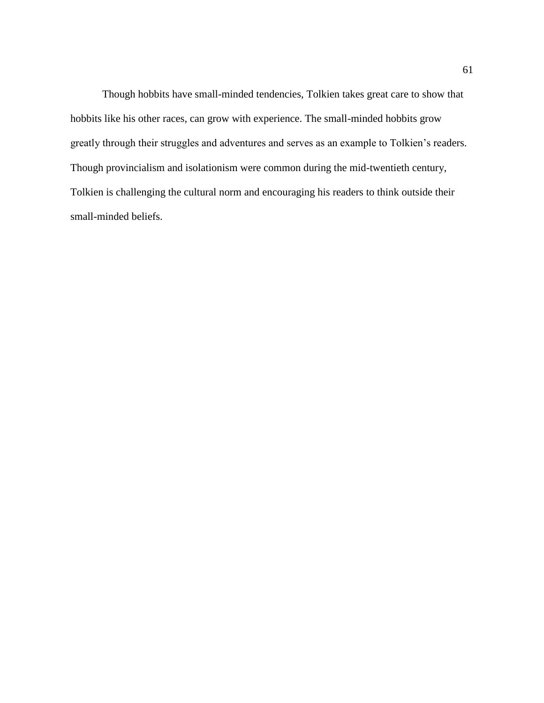Though hobbits have small-minded tendencies, Tolkien takes great care to show that hobbits like his other races, can grow with experience. The small-minded hobbits grow greatly through their struggles and adventures and serves as an example to Tolkien's readers. Though provincialism and isolationism were common during the mid-twentieth century, Tolkien is challenging the cultural norm and encouraging his readers to think outside their small-minded beliefs.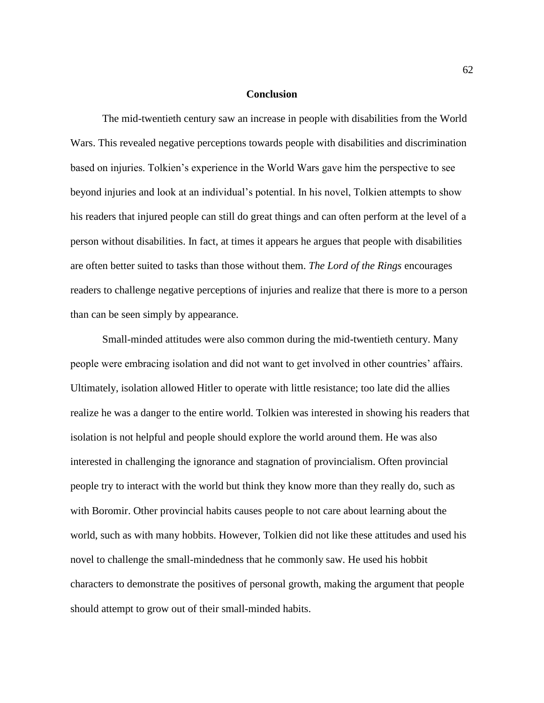#### **Conclusion**

The mid-twentieth century saw an increase in people with disabilities from the World Wars. This revealed negative perceptions towards people with disabilities and discrimination based on injuries. Tolkien's experience in the World Wars gave him the perspective to see beyond injuries and look at an individual's potential. In his novel, Tolkien attempts to show his readers that injured people can still do great things and can often perform at the level of a person without disabilities. In fact, at times it appears he argues that people with disabilities are often better suited to tasks than those without them. *The Lord of the Rings* encourages readers to challenge negative perceptions of injuries and realize that there is more to a person than can be seen simply by appearance.

Small-minded attitudes were also common during the mid-twentieth century. Many people were embracing isolation and did not want to get involved in other countries' affairs. Ultimately, isolation allowed Hitler to operate with little resistance; too late did the allies realize he was a danger to the entire world. Tolkien was interested in showing his readers that isolation is not helpful and people should explore the world around them. He was also interested in challenging the ignorance and stagnation of provincialism. Often provincial people try to interact with the world but think they know more than they really do, such as with Boromir. Other provincial habits causes people to not care about learning about the world, such as with many hobbits. However, Tolkien did not like these attitudes and used his novel to challenge the small-mindedness that he commonly saw. He used his hobbit characters to demonstrate the positives of personal growth, making the argument that people should attempt to grow out of their small-minded habits.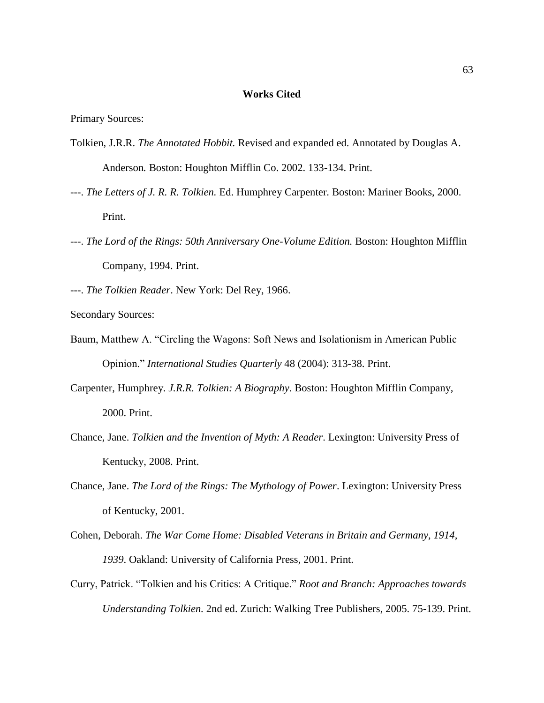#### **Works Cited**

Primary Sources:

- Tolkien, J.R.R. *The Annotated Hobbit.* Revised and expanded ed. Annotated by Douglas A. Anderson*.* Boston: Houghton Mifflin Co. 2002. 133-134. Print.
- ---. *The Letters of J. R. R. Tolkien.* Ed. Humphrey Carpenter. Boston: Mariner Books, 2000. Print.
- ---. *The Lord of the Rings: 50th Anniversary One-Volume Edition.* Boston: Houghton Mifflin Company, 1994. Print.
- ---. *The Tolkien Reader*. New York: Del Rey, 1966.

Secondary Sources:

- Baum, Matthew A. "Circling the Wagons: Soft News and Isolationism in American Public Opinion." *International Studies Quarterly* 48 (2004): 313-38. Print.
- Carpenter, Humphrey. *J.R.R. Tolkien: A Biography*. Boston: Houghton Mifflin Company, 2000. Print.
- Chance, Jane. *Tolkien and the Invention of Myth: A Reader*. Lexington: University Press of Kentucky, 2008. Print.
- Chance, Jane. *The Lord of the Rings: The Mythology of Power*. Lexington: University Press of Kentucky, 2001.
- Cohen, Deborah. *The War Come Home: Disabled Veterans in Britain and Germany, 1914, 1939*. Oakland: University of California Press, 2001. Print.
- Curry, Patrick. "Tolkien and his Critics: A Critique." *Root and Branch: Approaches towards Understanding Tolkien.* 2nd ed. Zurich: Walking Tree Publishers, 2005. 75-139. Print.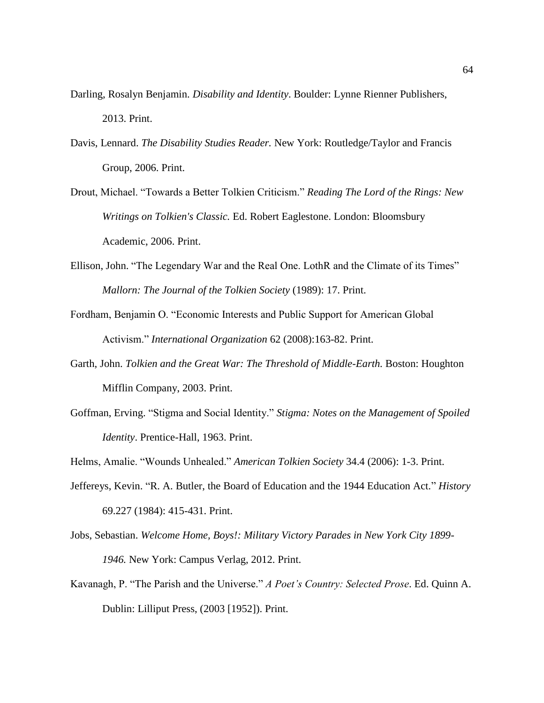- Darling, Rosalyn Benjamin. *Disability and Identity*. Boulder: Lynne Rienner Publishers, 2013. Print.
- Davis, Lennard. *The Disability Studies Reader.* New York: Routledge/Taylor and Francis Group, 2006. Print.
- Drout, Michael. "Towards a Better Tolkien Criticism." *Reading The Lord of the Rings: New Writings on Tolkien's Classic.* Ed. Robert Eaglestone. London: Bloomsbury Academic, 2006. Print.
- Ellison, John. "The Legendary War and the Real One. LothR and the Climate of its Times" *Mallorn: The Journal of the Tolkien Society* (1989): 17. Print.
- Fordham, Benjamin O. "Economic Interests and Public Support for American Global Activism." *International Organization* 62 (2008):163-82. Print.
- Garth, John. *Tolkien and the Great War: The Threshold of Middle-Earth*. Boston: Houghton Mifflin Company, 2003. Print.
- Goffman, Erving. "Stigma and Social Identity." *Stigma: Notes on the Management of Spoiled Identity*. Prentice-Hall, 1963. Print.
- Helms, Amalie. "Wounds Unhealed." *American Tolkien Society* 34.4 (2006): 1-3. Print.
- Jeffereys, Kevin. "R. A. Butler, the Board of Education and the 1944 Education Act." *History* 69.227 (1984): 415-431. Print.
- Jobs, Sebastian. *Welcome Home, Boys!: Military Victory Parades in New York City 1899- 1946.* New York: Campus Verlag, 2012. Print.
- Kavanagh, P. "The Parish and the Universe." *A Poet's Country: Selected Prose*. Ed. Quinn A. Dublin: Lilliput Press, (2003 [1952]). Print.